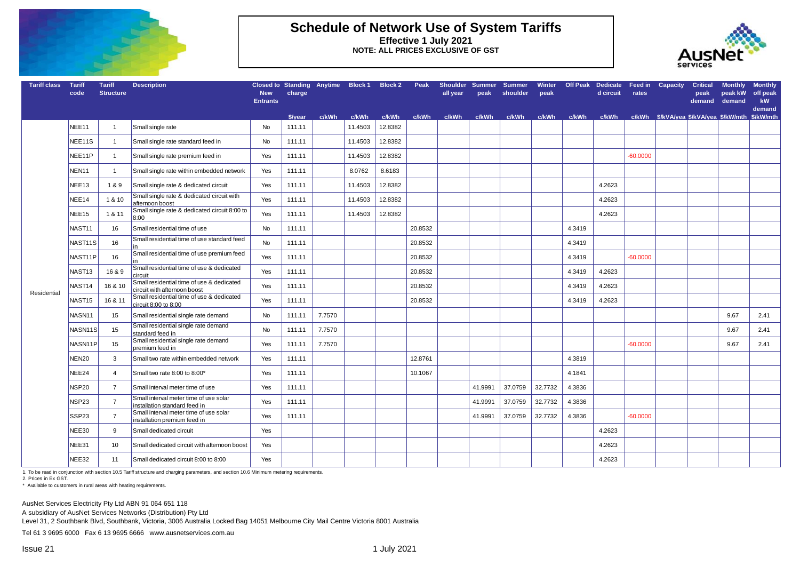

#### **Schedule of Network Use of System Tariffs Effective 1 July 2021 NOTE: ALL PRICES EXCLUSIVE OF GST**



| <b>Tariff class</b> | <b>Tariff</b><br>code | <b>Tariff</b><br><b>Structure</b> | <b>Description</b>                                                        | <b>New</b><br><b>Entrants</b> | charge  | Closed to Standing Anytime Block 1 Block 2 |         |         | Peak    | Shoulder Summer<br>all vear | peak    | <b>Summer</b><br>shoulder | Winter<br>peak | <b>Off Peak</b> | <b>Dedicate</b><br>d circuit | Feed in<br>rates | Capacity | <b>Critical</b><br>peak<br>demand | <b>Monthly</b><br>peak kW<br>demand | <b>Monthly</b><br>off peak<br>kW<br>demand |
|---------------------|-----------------------|-----------------------------------|---------------------------------------------------------------------------|-------------------------------|---------|--------------------------------------------|---------|---------|---------|-----------------------------|---------|---------------------------|----------------|-----------------|------------------------------|------------------|----------|-----------------------------------|-------------------------------------|--------------------------------------------|
|                     |                       |                                   |                                                                           |                               | \$/vear | c/kWh                                      | c/kWh   | c/kWh   | c/kWh   | c/kWh                       | c/kWh   | c/kWh                     | c/kWh          | c/kWh           | c/kWh                        |                  |          |                                   |                                     |                                            |
|                     | NEE11                 | $\mathbf{1}$                      | Small single rate                                                         | No                            | 111.11  |                                            | 11.4503 | 12.8382 |         |                             |         |                           |                |                 |                              |                  |          |                                   |                                     |                                            |
|                     | NEE11S                | $\mathbf{1}$                      | Small single rate standard feed in                                        | No                            | 111.11  |                                            | 11.4503 | 12.8382 |         |                             |         |                           |                |                 |                              |                  |          |                                   |                                     |                                            |
|                     | NEE11P                | $\mathbf{1}$                      | Small single rate premium feed in                                         | Yes                           | 111.11  |                                            | 11.4503 | 12.8382 |         |                             |         |                           |                |                 |                              | 60.0000          |          |                                   |                                     |                                            |
|                     | NEN11                 | $\mathbf{1}$                      | Small single rate within embedded network                                 | Yes                           | 111.11  |                                            | 8.0762  | 8.6183  |         |                             |         |                           |                |                 |                              |                  |          |                                   |                                     |                                            |
|                     | NEE13                 | 1&9                               | Small single rate & dedicated circuit                                     | Yes                           | 111.11  |                                            | 11.4503 | 12.8382 |         |                             |         |                           |                |                 | 4.2623                       |                  |          |                                   |                                     |                                            |
|                     | NEE14                 | 1 & 10                            | Small single rate & dedicated circuit with<br>afternoon boost             | Yes                           | 111.11  |                                            | 11.4503 | 12.8382 |         |                             |         |                           |                |                 | 4.2623                       |                  |          |                                   |                                     |                                            |
|                     | NEE15                 | 1 & 11                            | Small single rate & dedicated circuit 8:00 to<br>8:00                     | Yes                           | 111.11  |                                            | 11.4503 | 12.8382 |         |                             |         |                           |                |                 | 4.2623                       |                  |          |                                   |                                     |                                            |
|                     | NAST11                | 16                                | Small residential time of use                                             | No                            | 111.11  |                                            |         |         | 20.8532 |                             |         |                           |                | 4.3419          |                              |                  |          |                                   |                                     |                                            |
|                     | NAST11S               | 16                                | Small residential time of use standard feed                               | No                            | 111.11  |                                            |         |         | 20.8532 |                             |         |                           |                | 4.3419          |                              |                  |          |                                   |                                     |                                            |
|                     | NAST11P               | 16                                | Small residential time of use premium feed                                | Yes                           | 111.11  |                                            |         |         | 20.8532 |                             |         |                           |                | 4.3419          |                              | $-60.0000$       |          |                                   |                                     |                                            |
|                     | NAST13                | 16 & 9                            | Small residential time of use & dedicated<br>circuit                      | Yes                           | 111.11  |                                            |         |         | 20.8532 |                             |         |                           |                | 4.3419          | 4.2623                       |                  |          |                                   |                                     |                                            |
|                     | NAST14                | 16 & 10                           | Small residential time of use & dedicated<br>circuit with afternoon boost | Yes                           | 111.11  |                                            |         |         | 20.8532 |                             |         |                           |                | 4.3419          | 4.2623                       |                  |          |                                   |                                     |                                            |
| Residential         | NAST <sub>15</sub>    | 16 & 11                           | Small residential time of use & dedicated<br>circuit 8:00 to 8:00         | Yes                           | 111.11  |                                            |         |         | 20.8532 |                             |         |                           |                | 4.3419          | 4.2623                       |                  |          |                                   |                                     |                                            |
|                     | NASN <sub>11</sub>    | 15                                | Small residential single rate demand                                      | No                            | 111.11  | 7.7570                                     |         |         |         |                             |         |                           |                |                 |                              |                  |          |                                   | 9.67                                | 2.41                                       |
|                     | NASN11S               | 15                                | Small residential single rate demand<br>standard feed in                  | No                            | 111.11  | 7.7570                                     |         |         |         |                             |         |                           |                |                 |                              |                  |          |                                   | 9.67                                | 2.41                                       |
|                     | NASN11P               | 15                                | Small residential single rate demand<br>premium feed in                   | Yes                           | 111.11  | 7.7570                                     |         |         |         |                             |         |                           |                |                 |                              | -60.0000         |          |                                   | 9.67                                | 2.41                                       |
|                     | <b>NEN20</b>          | 3                                 | Small two rate within embedded network                                    | Yes                           | 111.11  |                                            |         |         | 12.8761 |                             |         |                           |                | 4.3819          |                              |                  |          |                                   |                                     |                                            |
|                     | NEE24                 | $\overline{4}$                    | Small two rate 8:00 to 8:00*                                              | Yes                           | 111.11  |                                            |         |         | 10.1067 |                             |         |                           |                | 4.1841          |                              |                  |          |                                   |                                     |                                            |
|                     | NSP20                 | $\overline{7}$                    | Small interval meter time of use                                          | Yes                           | 111.11  |                                            |         |         |         |                             | 41.9991 | 37.0759                   | 32.7732        | 4.3836          |                              |                  |          |                                   |                                     |                                            |
|                     | NSP23                 | $\overline{7}$                    | Small interval meter time of use solar<br>installation standard feed in   | Yes                           | 111.11  |                                            |         |         |         |                             | 41.9991 | 37.0759                   | 32.7732        | 4.3836          |                              |                  |          |                                   |                                     |                                            |
|                     | SSP23                 | $\overline{7}$                    | Small interval meter time of use solar<br>installation premium feed in    | Yes                           | 111.11  |                                            |         |         |         |                             | 41.9991 | 37.0759                   | 32.7732        | 4.3836          |                              | 60.0000          |          |                                   |                                     |                                            |
|                     | NEE30                 | 9                                 | Small dedicated circuit                                                   | Yes                           |         |                                            |         |         |         |                             |         |                           |                |                 | 4.2623                       |                  |          |                                   |                                     |                                            |
|                     | NEE31                 | 10                                | Small dedicated circuit with afternoon boost                              | Yes                           |         |                                            |         |         |         |                             |         |                           |                |                 | 4.2623                       |                  |          |                                   |                                     |                                            |
|                     | NEE32                 | 11                                | Small dedicated circuit 8:00 to 8:00                                      | Yes                           |         |                                            |         |         |         |                             |         |                           |                |                 | 4.2623                       |                  |          |                                   |                                     |                                            |

1. To be read in conjunction with section 10.5 Tariff structure and charging parameters, and section 10.6 Minimum metering requirements.

2. Prices in Ex GST.

\* Available to customers in rural areas with heating requirements.

AusNet Services Electricity Pty Ltd ABN 91 064 651 118

A subsidiary of AusNet Services Networks (Distribution) Pty Ltd

Level 31, 2 Southbank Blvd, Southbank, Victoria, 3006 Australia Locked Bag 14051 Melbourne City Mail Centre Victoria 8001 Australia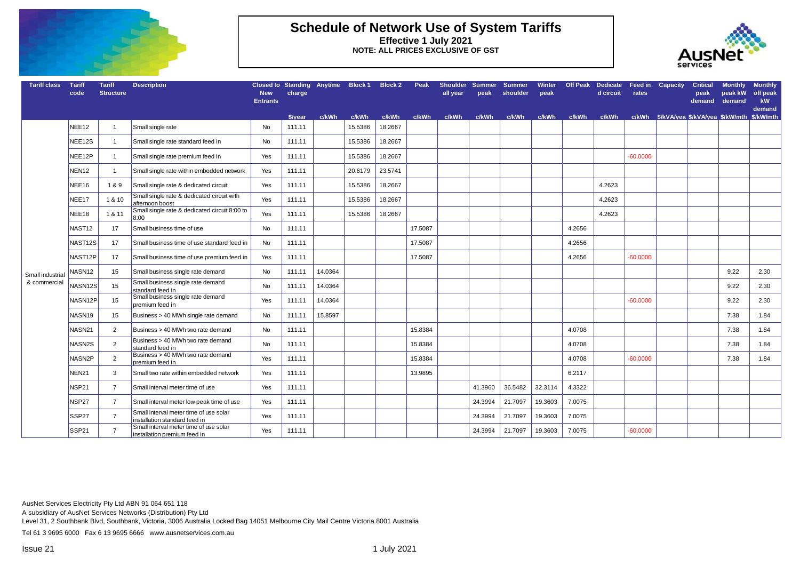

## **Schedule of Network Use of System Tariffs Effective 1 July 2021 NOTE: ALL PRICES EXCLUSIVE OF GST**



| <b>Tariff class</b> | Tariff<br>code     | <b>Tariff</b><br><b>Structure</b> | <b>Description</b>                                                      | Closed to Standing Anytime Block 1<br><b>New</b><br><b>Entrants</b> | charge  |         |         | <b>Block 2</b> | Peak    | Shoulder Summer<br>all year | peak    | <b>Summer</b><br>shoulder | <b>Winter</b><br>peak |        | <b>Off Peak Dedicate</b><br>d circuit | Feed in<br>rates | <b>Capacity</b> | <b>Critical</b><br>peak<br>demand | <b>Monthly</b><br>peak kW<br>demand | <b>Monthly</b><br>off peak<br><b>kW</b><br>demand |
|---------------------|--------------------|-----------------------------------|-------------------------------------------------------------------------|---------------------------------------------------------------------|---------|---------|---------|----------------|---------|-----------------------------|---------|---------------------------|-----------------------|--------|---------------------------------------|------------------|-----------------|-----------------------------------|-------------------------------------|---------------------------------------------------|
|                     |                    |                                   |                                                                         |                                                                     | \$/vear | c/kWh   | c/kWh   | c/kWh          | c/kWh   | c/kWh                       | c/kWh   | c/kWh                     | c/kWh                 | c/kWh  | c/kWh                                 |                  |                 |                                   |                                     |                                                   |
|                     | NEE <sub>12</sub>  | $\overline{1}$                    | Small single rate                                                       | No                                                                  | 111.11  |         | 15.5386 | 18.2667        |         |                             |         |                           |                       |        |                                       |                  |                 |                                   |                                     |                                                   |
|                     | NEE12S             | $\overline{1}$                    | Small single rate standard feed in                                      | No                                                                  | 111.11  |         | 15.5386 | 18.2667        |         |                             |         |                           |                       |        |                                       |                  |                 |                                   |                                     |                                                   |
|                     | NEE12P             | $\overline{1}$                    | Small single rate premium feed in                                       | Yes                                                                 | 111.11  |         | 15.5386 | 18.2667        |         |                             |         |                           |                       |        |                                       | $-60.0000$       |                 |                                   |                                     |                                                   |
|                     | NEN12              | $\overline{1}$                    | Small single rate within embedded network                               | Yes                                                                 | 111.11  |         | 20.6179 | 23.5741        |         |                             |         |                           |                       |        |                                       |                  |                 |                                   |                                     |                                                   |
|                     | NEE16              | 1&9                               | Small single rate & dedicated circuit                                   | Yes                                                                 | 111.11  |         | 15.5386 | 18.2667        |         |                             |         |                           |                       |        | 4.2623                                |                  |                 |                                   |                                     |                                                   |
|                     | NEE17              | 1 & 10                            | Small single rate & dedicated circuit with<br>afternoon boost           | Yes                                                                 | 111.11  |         | 15.5386 | 18.2667        |         |                             |         |                           |                       |        | 4.2623                                |                  |                 |                                   |                                     |                                                   |
|                     | NEE18              | 1 & 11                            | Small single rate & dedicated circuit 8:00 to<br>8:00                   | Yes                                                                 | 111.11  |         | 15.5386 | 18.2667        |         |                             |         |                           |                       |        | 4.2623                                |                  |                 |                                   |                                     |                                                   |
|                     | NAST <sub>12</sub> | 17                                | Small business time of use                                              | No                                                                  | 111.11  |         |         |                | 17.5087 |                             |         |                           |                       | 4.2656 |                                       |                  |                 |                                   |                                     |                                                   |
|                     | NAST12S            | 17                                | Small business time of use standard feed in                             | No                                                                  | 111.11  |         |         |                | 17.5087 |                             |         |                           |                       | 4.2656 |                                       |                  |                 |                                   |                                     |                                                   |
|                     | NAST12P            | 17                                | Small business time of use premium feed in                              | Yes                                                                 | 111.11  |         |         |                | 17.5087 |                             |         |                           |                       | 4.2656 |                                       | $-60.0000$       |                 |                                   |                                     |                                                   |
| Small industrial    | NASN <sub>12</sub> | 15                                | Small business single rate demand                                       | No                                                                  | 111.11  | 14.0364 |         |                |         |                             |         |                           |                       |        |                                       |                  |                 |                                   | 9.22                                | 2.30                                              |
| & commercial        | NASN12S            | 15                                | Small business single rate demand<br>standard feed in                   | <b>No</b>                                                           | 111.11  | 14.0364 |         |                |         |                             |         |                           |                       |        |                                       |                  |                 |                                   | 9.22                                | 2.30                                              |
|                     | NASN12P            | 15                                | Small business single rate demand<br>premium feed in                    | Yes                                                                 | 111.11  | 14.0364 |         |                |         |                             |         |                           |                       |        |                                       | $-60.0000$       |                 |                                   | 9.22                                | 2.30                                              |
|                     | NASN19             | 15                                | Business > 40 MWh single rate demand                                    | No                                                                  | 111.11  | 15.8597 |         |                |         |                             |         |                           |                       |        |                                       |                  |                 |                                   | 7.38                                | 1.84                                              |
|                     | NASN21             | 2                                 | Business > 40 MWh two rate demand                                       | No                                                                  | 111.11  |         |         |                | 15.8384 |                             |         |                           |                       | 4.0708 |                                       |                  |                 |                                   | 7.38                                | 1.84                                              |
|                     | <b>NASN2S</b>      | 2                                 | Business > 40 MWh two rate demand<br>standard feed in                   | <b>No</b>                                                           | 111.11  |         |         |                | 15.8384 |                             |         |                           |                       | 4.0708 |                                       |                  |                 |                                   | 7.38                                | 1.84                                              |
|                     | NASN2P             | 2                                 | Business > 40 MWh two rate demand<br>premium feed in                    | Yes                                                                 | 111.11  |         |         |                | 15.8384 |                             |         |                           |                       | 4.0708 |                                       | $-60.0000$       |                 |                                   | 7.38                                | 1.84                                              |
|                     | NEN21              | $\mathbf{3}$                      | Small two rate within embedded network                                  | Yes                                                                 | 111.11  |         |         |                | 13.9895 |                             |         |                           |                       | 6.2117 |                                       |                  |                 |                                   |                                     |                                                   |
|                     | <b>NSP21</b>       | $\overline{7}$                    | Small interval meter time of use                                        | Yes                                                                 | 111.11  |         |         |                |         |                             | 41.3960 | 36.5482                   | 32.3114               | 4.3322 |                                       |                  |                 |                                   |                                     |                                                   |
|                     | NSP27              | $\overline{7}$                    | Small interval meter low peak time of use                               | Yes                                                                 | 111.11  |         |         |                |         |                             | 24.3994 | 21.7097                   | 19.3603               | 7.0075 |                                       |                  |                 |                                   |                                     |                                                   |
|                     | SSP27              | $\overline{7}$                    | Small interval meter time of use solar<br>installation standard feed in | Yes                                                                 | 111.11  |         |         |                |         |                             | 24.3994 | 21.7097                   | 19.3603               | 7.0075 |                                       |                  |                 |                                   |                                     |                                                   |
|                     | SSP21              | $\overline{7}$                    | Small interval meter time of use solar<br>installation premium feed in  | Yes                                                                 | 111.11  |         |         |                |         |                             | 24.3994 | 21.7097                   | 19.3603               | 7.0075 |                                       | $-60.0000$       |                 |                                   |                                     |                                                   |

AusNet Services Electricity Pty Ltd ABN 91 064 651 118

A subsidiary of AusNet Services Networks (Distribution) Pty Ltd

Level 31, 2 Southbank Blvd, Southbank, Victoria, 3006 Australia Locked Bag 14051 Melbourne City Mail Centre Victoria 8001 Australia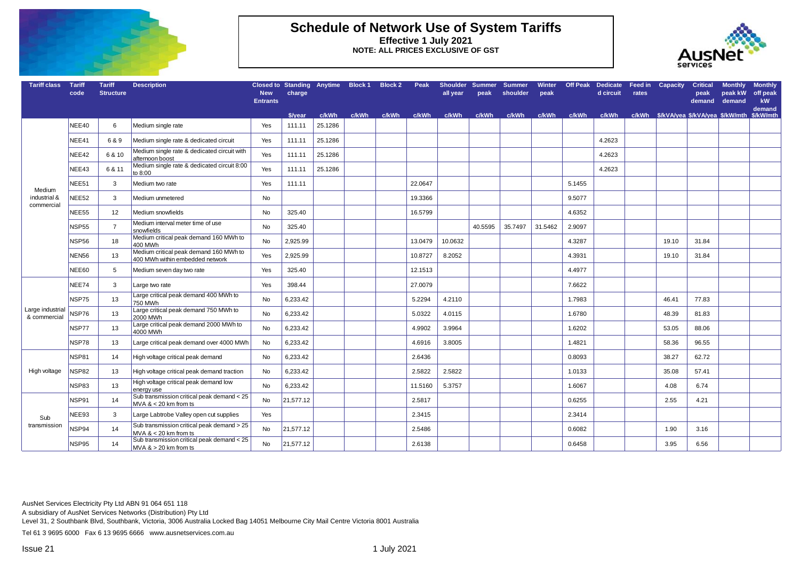

#### **Schedule of Network Use of System Tariffs Effective 1 July 2021 NOTE: ALL PRICES EXCLUSIVE OF GST**



| <b>Tariff class</b>              | <b>Tariff</b><br>code | <b>Tariff</b><br><b>Structure</b> | <b>Description</b>                                                        | <b>New</b><br><b>Entrants</b> | Closed to Standing Anytime Block 1 Block 2<br>charge |         |       |       | Peak    | all vear | peak    | Shoulder Summer Summer<br>shoulder | peak    |        | d circuit | rates | Winter Off Peak Dedicate Feed in Capacity Critical | demand | <b>Monthly</b><br>neak kW<br>demand | <b>Monthly</b><br>off peak<br>kW<br>demand |
|----------------------------------|-----------------------|-----------------------------------|---------------------------------------------------------------------------|-------------------------------|------------------------------------------------------|---------|-------|-------|---------|----------|---------|------------------------------------|---------|--------|-----------|-------|----------------------------------------------------|--------|-------------------------------------|--------------------------------------------|
|                                  |                       |                                   |                                                                           |                               | \$/vear                                              | c/kWh   | c/kWh | c/kWh | c/kWh   | c/kWh    | c/kWh   | c/kWh                              | c/kWh   | c/kWh  | c/kWh     |       | c/kWh \$/kVA/yea \$/kVA/yea \$/kW/mth              |        |                                     | \$/kW/mth                                  |
|                                  | NEE40                 | 6                                 | Medium single rate                                                        | Yes                           | 111.11                                               | 25.1286 |       |       |         |          |         |                                    |         |        |           |       |                                                    |        |                                     |                                            |
|                                  | NEE41                 | 6 & 9                             | Medium single rate & dedicated circuit                                    | Yes                           | 111.11                                               | 25.1286 |       |       |         |          |         |                                    |         |        | 4.2623    |       |                                                    |        |                                     |                                            |
|                                  | NEE42                 | 6 & 10                            | Medium single rate & dedicated circuit with<br>afternoon boost            | Yes                           | 111.11                                               | 25.1286 |       |       |         |          |         |                                    |         |        | 4.2623    |       |                                                    |        |                                     |                                            |
|                                  | NEE43                 | 6 & 11                            | Medium single rate & dedicated circuit 8:00<br>to 8:00                    | Yes                           | 111.11                                               | 25.1286 |       |       |         |          |         |                                    |         |        | 4.2623    |       |                                                    |        |                                     |                                            |
| Medium                           | NEE51                 | 3                                 | Medium two rate                                                           | Yes                           | 111.11                                               |         |       |       | 22.0647 |          |         |                                    |         | 5.1455 |           |       |                                                    |        |                                     |                                            |
| industrial &                     | NEE52                 | 3                                 | Medium unmetered                                                          | <b>No</b>                     |                                                      |         |       |       | 19.3366 |          |         |                                    |         | 9.5077 |           |       |                                                    |        |                                     |                                            |
| commercial                       | NEE55                 | 12                                | Medium snowfields                                                         | No                            | 325.40                                               |         |       |       | 16.5799 |          |         |                                    |         | 4.6352 |           |       |                                                    |        |                                     |                                            |
|                                  | <b>NSP55</b>          | $\overline{7}$                    | Medium interval meter time of use<br>snowfields                           | No                            | 325.40                                               |         |       |       |         |          | 40.5595 | 35.7497                            | 31.5462 | 2.9097 |           |       |                                                    |        |                                     |                                            |
|                                  | NSP56                 | 18                                | Medium critical peak demand 160 MWh to<br>400 MWh                         | No                            | 2,925.99                                             |         |       |       | 13.0479 | 10.0632  |         |                                    |         | 4.3287 |           |       | 19.10                                              | 31.84  |                                     |                                            |
|                                  | NEN56                 | 13                                | Medium critical peak demand 160 MWh to<br>400 MWh within embedded network | Yes                           | 2,925.99                                             |         |       |       | 10.8727 | 8.2052   |         |                                    |         | 4.3931 |           |       | 19.10                                              | 31.84  |                                     |                                            |
|                                  | NEE60                 | 5                                 | Medium seven day two rate                                                 | Yes                           | 325.40                                               |         |       |       | 12.1513 |          |         |                                    |         | 4.4977 |           |       |                                                    |        |                                     |                                            |
|                                  | NEE74                 | $\mathbf{3}$                      | Large two rate                                                            | Yes                           | 398.44                                               |         |       |       | 27.0079 |          |         |                                    |         | 7.6622 |           |       |                                                    |        |                                     |                                            |
|                                  | NSP75                 | 13                                | Large critical peak demand 400 MWh to<br>750 MWh                          | No                            | 6,233.42                                             |         |       |       | 5.2294  | 4.2110   |         |                                    |         | 1.7983 |           |       | 46.41                                              | 77.83  |                                     |                                            |
| Large industrial<br>& commercial | NSP76                 | 13                                | Large critical peak demand 750 MWh to<br>2000 MWh                         | No                            | 6,233.42                                             |         |       |       | 5.0322  | 4.0115   |         |                                    |         | 1.6780 |           |       | 48.39                                              | 81.83  |                                     |                                            |
|                                  | NSP77                 | 13                                | Large critical peak demand 2000 MWh to<br>4000 MWh                        | No                            | 6,233.42                                             |         |       |       | 4.9902  | 3.9964   |         |                                    |         | 1.6202 |           |       | 53.05                                              | 88.06  |                                     |                                            |
|                                  | NSP78                 | 13                                | Large critical peak demand over 4000 MWh                                  | No                            | 6,233.42                                             |         |       |       | 4.6916  | 3.8005   |         |                                    |         | 1.4821 |           |       | 58.36                                              | 96.55  |                                     |                                            |
|                                  | <b>NSP81</b>          | 14                                | High voltage critical peak demand                                         | No                            | 6,233.42                                             |         |       |       | 2.6436  |          |         |                                    |         | 0.8093 |           |       | 38.27                                              | 62.72  |                                     |                                            |
| High voltage                     | NSP82                 | 13                                | High voltage critical peak demand traction                                | No                            | 6,233.42                                             |         |       |       | 2.5822  | 2.5822   |         |                                    |         | 1.0133 |           |       | 35.08                                              | 57.41  |                                     |                                            |
|                                  | NSP83                 | 13                                | High voltage critical peak demand low<br>energy use                       | <b>No</b>                     | 6,233.42                                             |         |       |       | 11.5160 | 5.3757   |         |                                    |         | 1.6067 |           |       | 4.08                                               | 6.74   |                                     |                                            |
|                                  | NSP91                 | 14                                | Sub transmission critical peak demand < 25<br>$MVA < 20$ km from ts       | No                            | 21,577.12                                            |         |       |       | 2.5817  |          |         |                                    |         | 0.6255 |           |       | 2.55                                               | 4.21   |                                     |                                            |
| Sub                              | NEE93                 | $\mathbf{3}$                      | Large Labtrobe Valley open cut supplies                                   | Yes                           |                                                      |         |       |       | 2.3415  |          |         |                                    |         | 2.3414 |           |       |                                                    |        |                                     |                                            |
| transmission                     | NSP94                 | 14                                | Sub transmission critical peak demand > 25<br>$MVA < 20$ km from ts       | No                            | 21,577.12                                            |         |       |       | 2.5486  |          |         |                                    |         | 0.6082 |           |       | 1.90                                               | 3.16   |                                     |                                            |
|                                  | NSP95                 | 14                                | Sub transmission critical peak demand < 25<br>$MVA > 20$ km from ts       | <b>No</b>                     | 21,577.12                                            |         |       |       | 2.6138  |          |         |                                    |         | 0.6458 |           |       | 3.95                                               | 6.56   |                                     |                                            |

AusNet Services Electricity Pty Ltd ABN 91 064 651 118

A subsidiary of AusNet Services Networks (Distribution) Pty Ltd

Level 31, 2 Southbank Blvd, Southbank, Victoria, 3006 Australia Locked Bag 14051 Melbourne City Mail Centre Victoria 8001 Australia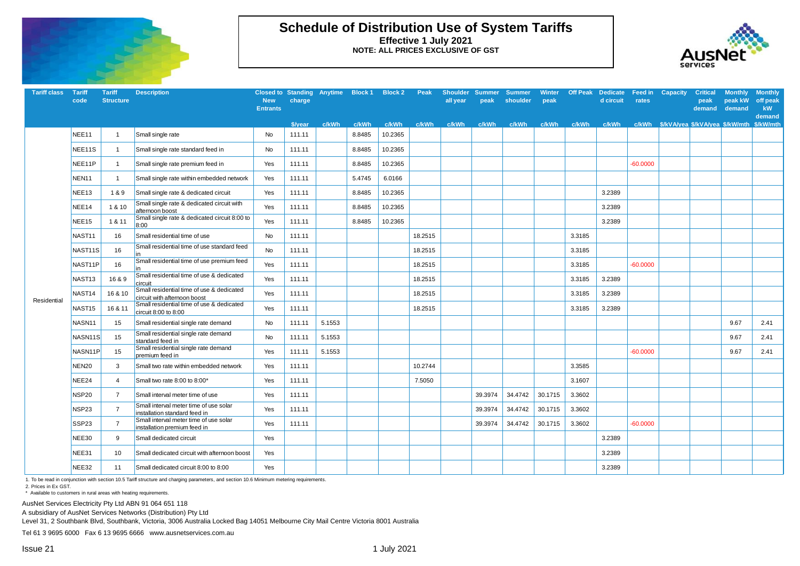

## **Schedule of Distribution Use of System Tariffs Effective 1 July 2021 NOTE: ALL PRICES EXCLUSIVE OF GST**



| <b>Tariff class</b> | Tariff<br>code      | <b>Tariff</b><br><b>Structure</b> | <b>Description</b>                                                        | <b>New</b>      | Closed to Standing Anytime Block 1 Block 2 Peak<br>charge |        |        |         |         | all vear | peak    | Shoulder Summer Summer<br>shoulder | Winter<br>peak |        | <b>Off Peak Dedicate Feed in Capacity</b><br>d circuit | rates      | <b>Critical</b><br>peak | <b>Monthly</b><br>peak kW | <b>Monthly</b><br>off peak |
|---------------------|---------------------|-----------------------------------|---------------------------------------------------------------------------|-----------------|-----------------------------------------------------------|--------|--------|---------|---------|----------|---------|------------------------------------|----------------|--------|--------------------------------------------------------|------------|-------------------------|---------------------------|----------------------------|
|                     |                     |                                   |                                                                           | <b>Entrants</b> |                                                           |        |        |         |         |          |         |                                    |                |        |                                                        |            | demand                  | demand                    | kW<br>demand               |
|                     |                     |                                   |                                                                           |                 | \$/vear                                                   | c/kWh  | c/kWh  | c/kWh   | c/kWh   | c/kWh    | c/kWh   | c/kWh                              | c/kWh          | c/kWh  | c/kWh                                                  |            |                         |                           |                            |
|                     | NEE11               |                                   | Small single rate                                                         | No              | 111.11                                                    |        | 8.8485 | 10.2365 |         |          |         |                                    |                |        |                                                        |            |                         |                           |                            |
|                     | NEE11S              |                                   | Small single rate standard feed in                                        | No              | 111.11                                                    |        | 8.8485 | 10.2365 |         |          |         |                                    |                |        |                                                        |            |                         |                           |                            |
|                     | NEE <sub>11P</sub>  | 1                                 | Small single rate premium feed in                                         | Yes             | 111.11                                                    |        | 8.8485 | 10.2365 |         |          |         |                                    |                |        |                                                        | $-60.0000$ |                         |                           |                            |
|                     | NEN11               | $\mathbf{1}$                      | Small single rate within embedded network                                 | Yes             | 111.11                                                    |        | 5.4745 | 6.0166  |         |          |         |                                    |                |        |                                                        |            |                         |                           |                            |
|                     | NEE13               | 1&9                               | Small single rate & dedicated circuit                                     | Yes             | 111.11                                                    |        | 8.8485 | 10.2365 |         |          |         |                                    |                |        | 3.2389                                                 |            |                         |                           |                            |
|                     | NEE14               | 1 & 10                            | Small single rate & dedicated circuit with<br>afternoon boost             | Yes             | 111.11                                                    |        | 8.8485 | 10.2365 |         |          |         |                                    |                |        | 3.2389                                                 |            |                         |                           |                            |
|                     | NEE15               | 1 & 11                            | Small single rate & dedicated circuit 8:00 to<br>8:00                     | Yes             | 111.11                                                    |        | 8.8485 | 10.2365 |         |          |         |                                    |                |        | 3.2389                                                 |            |                         |                           |                            |
|                     | NAST11              | 16                                | Small residential time of use                                             | No              | 111.11                                                    |        |        |         | 18.2515 |          |         |                                    |                | 3.3185 |                                                        |            |                         |                           |                            |
|                     | NAST <sub>11S</sub> | 16                                | Small residential time of use standard feed                               | No              | 111.11                                                    |        |        |         | 18.2515 |          |         |                                    |                | 3.3185 |                                                        |            |                         |                           |                            |
|                     | NAST11P             | 16                                | Small residential time of use premium feed<br>in                          | Yes             | 111.11                                                    |        |        |         | 18.2515 |          |         |                                    |                | 3.3185 |                                                        | $-60.0000$ |                         |                           |                            |
|                     | NAST13              | 16 & 9                            | Small residential time of use & dedicated<br>circuit                      | Yes             | 111.11                                                    |        |        |         | 18.2515 |          |         |                                    |                | 3.3185 | 3.2389                                                 |            |                         |                           |                            |
|                     | NAST14              | 16 & 10                           | Small residential time of use & dedicated<br>circuit with afternoon boost | Yes             | 111.11                                                    |        |        |         | 18.2515 |          |         |                                    |                | 3.3185 | 3.2389                                                 |            |                         |                           |                            |
| Residential         | NAST15              | 16 & 11                           | Small residential time of use & dedicated<br>circuit 8:00 to 8:00         | Yes             | 111.11                                                    |        |        |         | 18.2515 |          |         |                                    |                | 3.3185 | 3.2389                                                 |            |                         |                           |                            |
|                     | NASN11              | 15                                | Small residential single rate demand                                      | No              | 111.11                                                    | 5.1553 |        |         |         |          |         |                                    |                |        |                                                        |            |                         | 9.67                      | 2.41                       |
|                     | NASN11S             | 15                                | Small residential single rate demand<br>standard feed in                  | No              | 111.11                                                    | 5.1553 |        |         |         |          |         |                                    |                |        |                                                        |            |                         | 9.67                      | 2.41                       |
|                     | NASN11P             | 15                                | Small residential single rate demand<br>premium feed in                   | Yes             | 111.11                                                    | 5.1553 |        |         |         |          |         |                                    |                |        |                                                        | $-60.0000$ |                         | 9.67                      | 2.41                       |
|                     | <b>NEN20</b>        | 3                                 | Small two rate within embedded network                                    | Yes             | 111.11                                                    |        |        |         | 10.2744 |          |         |                                    |                | 3.3585 |                                                        |            |                         |                           |                            |
|                     | NEE24               | 4                                 | Small two rate 8:00 to 8:00*                                              | Yes             | 111.11                                                    |        |        |         | 7.5050  |          |         |                                    |                | 3.1607 |                                                        |            |                         |                           |                            |
|                     | NSP20               | $\overline{7}$                    | Small interval meter time of use                                          | Yes             | 111.11                                                    |        |        |         |         |          | 39.3974 | 34.4742                            | 30.1715        | 3.3602 |                                                        |            |                         |                           |                            |
|                     | NSP23               | $\overline{7}$                    | Small interval meter time of use solar<br>installation standard feed in   | Yes             | 111.11                                                    |        |        |         |         |          | 39.3974 | 34.4742                            | 30.1715        | 3.3602 |                                                        |            |                         |                           |                            |
|                     | SSP23               | $\overline{7}$                    | Small interval meter time of use solar<br>installation premium feed in    | Yes             | 111.11                                                    |        |        |         |         |          | 39.3974 | 34.4742                            | 30.1715        | 3.3602 |                                                        | $-60.0000$ |                         |                           |                            |
|                     | NEE30               | 9                                 | Small dedicated circuit                                                   | Yes             |                                                           |        |        |         |         |          |         |                                    |                |        | 3.2389                                                 |            |                         |                           |                            |
|                     | NEE31               | 10                                | Small dedicated circuit with afternoon boost                              | Yes             |                                                           |        |        |         |         |          |         |                                    |                |        | 3.2389                                                 |            |                         |                           |                            |
|                     | NEE32               | 11                                | Small dedicated circuit 8:00 to 8:00                                      | Yes             |                                                           |        |        |         |         |          |         |                                    |                |        | 3.2389                                                 |            |                         |                           |                            |

1. To be read in conjunction with section 10.5 Tariff structure and charging parameters, and section 10.6 Minimum metering requirements.

2. Prices in Ex GST.

\* Available to customers in rural areas with heating requirements.

AusNet Services Electricity Pty Ltd ABN 91 064 651 118

A subsidiary of AusNet Services Networks (Distribution) Pty Ltd

Level 31, 2 Southbank Blvd, Southbank, Victoria, 3006 Australia Locked Bag 14051 Melbourne City Mail Centre Victoria 8001 Australia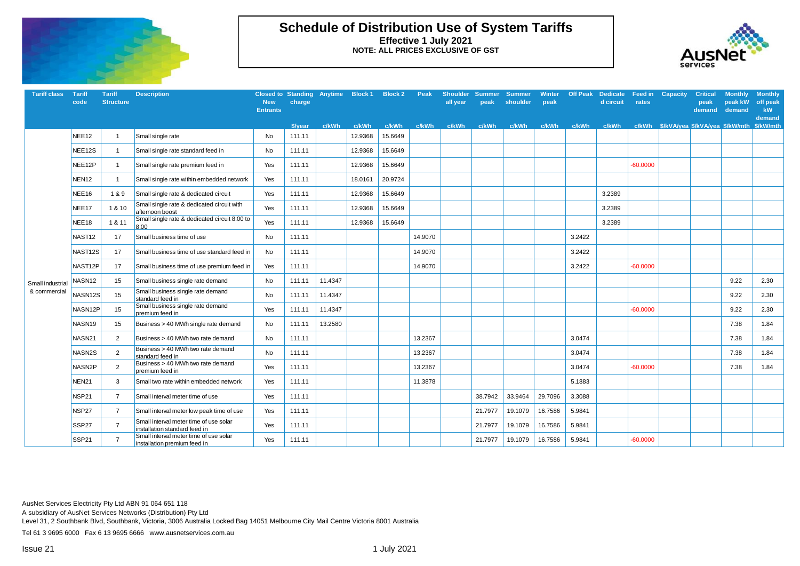

## **Schedule of Distribution Use of System Tariffs Effective 1 July 2021 NOTE: ALL PRICES EXCLUSIVE OF GST**



| <b>Tariff class</b>              | <b>Tariff</b><br>code | <b>Tariff</b><br><b>Structure</b> | <b>Description</b>                                                      | <b>New</b><br><b>Entrants</b> | charge  |         | Closed to Standing Anytime Block 1 Block 2 |         | Peak    | <b>Shoulder</b><br>all year | <b>Summer</b><br>peak | <b>Summer</b><br>shoulder | <b>Winter</b><br>peak | <b>Off Peak</b> | <b>Dedicate</b><br>d circuit | Feed in<br>rates | <b>Capacity</b> | <b>Critical</b><br>peak<br>demand               | <b>Monthly</b><br>peak kW<br>demand | <b>Monthly</b><br>off peak<br>kW<br>demand |
|----------------------------------|-----------------------|-----------------------------------|-------------------------------------------------------------------------|-------------------------------|---------|---------|--------------------------------------------|---------|---------|-----------------------------|-----------------------|---------------------------|-----------------------|-----------------|------------------------------|------------------|-----------------|-------------------------------------------------|-------------------------------------|--------------------------------------------|
|                                  |                       |                                   |                                                                         |                               | \$/year | c/kWh   | c/kWh                                      | c/kWh   | c/kWh   | c/kWh                       | c/kWh                 | c/kWh                     | c/kWh                 | c/kWh           | c/kWh                        |                  |                 | c/kWh \$/kVA/yea \$/kVA/yea \$/kW/mth \$/kW/mth |                                     |                                            |
|                                  | NEE <sub>12</sub>     | $\overline{1}$                    | Small single rate                                                       | No                            | 111.11  |         | 12.9368                                    | 15.6649 |         |                             |                       |                           |                       |                 |                              |                  |                 |                                                 |                                     |                                            |
|                                  | NEE12S                | $\mathbf{1}$                      | Small single rate standard feed in                                      | No                            | 111.11  |         | 12.9368                                    | 15.6649 |         |                             |                       |                           |                       |                 |                              |                  |                 |                                                 |                                     |                                            |
|                                  | NEE12P                | $\overline{1}$                    | Small single rate premium feed in                                       | Yes                           | 111.11  |         | 12.9368                                    | 15.6649 |         |                             |                       |                           |                       |                 |                              | $-60.0000$       |                 |                                                 |                                     |                                            |
|                                  | NEN <sub>12</sub>     | $\mathbf{1}$                      | Small single rate within embedded network                               | Yes                           | 111.11  |         | 18.0161                                    | 20.9724 |         |                             |                       |                           |                       |                 |                              |                  |                 |                                                 |                                     |                                            |
|                                  | NEE16                 | 1&9                               | Small single rate & dedicated circuit                                   | Yes                           | 111.11  |         | 12.9368                                    | 15.6649 |         |                             |                       |                           |                       |                 | 3.2389                       |                  |                 |                                                 |                                     |                                            |
|                                  | NEE <sub>17</sub>     | 1 & 10                            | Small single rate & dedicated circuit with<br>afternoon boost           | Yes                           | 111.11  |         | 12.9368                                    | 15.6649 |         |                             |                       |                           |                       |                 | 3.2389                       |                  |                 |                                                 |                                     |                                            |
|                                  | NEE18                 | 1 & 11                            | Small single rate & dedicated circuit 8:00 to<br>8:00                   | Yes                           | 111.11  |         | 12.9368                                    | 15.6649 |         |                             |                       |                           |                       |                 | 3.2389                       |                  |                 |                                                 |                                     |                                            |
|                                  | NAST <sub>12</sub>    | 17                                | Small business time of use                                              | No                            | 111.11  |         |                                            |         | 14.9070 |                             |                       |                           |                       | 3.2422          |                              |                  |                 |                                                 |                                     |                                            |
|                                  | NAST <sub>12S</sub>   | 17                                | Small business time of use standard feed in                             | No                            | 111.11  |         |                                            |         | 14.9070 |                             |                       |                           |                       | 3.2422          |                              |                  |                 |                                                 |                                     |                                            |
|                                  | NAST <sub>12P</sub>   | 17                                | Small business time of use premium feed in                              | Yes                           | 111.11  |         |                                            |         | 14.9070 |                             |                       |                           |                       | 3.2422          |                              | $-60.0000$       |                 |                                                 |                                     |                                            |
| Small industrial<br>& commercial | NASN <sub>12</sub>    | 15                                | Small business single rate demand                                       | No                            | 111.11  | 11.4347 |                                            |         |         |                             |                       |                           |                       |                 |                              |                  |                 |                                                 | 9.22                                | 2.30                                       |
|                                  | NASN <sub>12S</sub>   | 15                                | Small business single rate demand<br>standard feed in                   | No                            | 111.11  | 11.4347 |                                            |         |         |                             |                       |                           |                       |                 |                              |                  |                 |                                                 | 9.22                                | 2.30                                       |
|                                  | NASN12P               | 15                                | Small business single rate demand<br>premium feed in                    | Yes                           | 111.11  | 11.4347 |                                            |         |         |                             |                       |                           |                       |                 |                              | $-60.0000$       |                 |                                                 | 9.22                                | 2.30                                       |
|                                  | NASN <sub>19</sub>    | 15                                | Business > 40 MWh single rate demand                                    | No                            | 111.11  | 13.2580 |                                            |         |         |                             |                       |                           |                       |                 |                              |                  |                 |                                                 | 7.38                                | 1.84                                       |
|                                  | NASN21                | $\overline{2}$                    | Business > 40 MWh two rate demand                                       | No                            | 111.11  |         |                                            |         | 13.2367 |                             |                       |                           |                       | 3.0474          |                              |                  |                 |                                                 | 7.38                                | 1.84                                       |
|                                  | NASN2S                | 2                                 | Business > 40 MWh two rate demand<br>standard feed in                   | No                            | 111.11  |         |                                            |         | 13.2367 |                             |                       |                           |                       | 3.0474          |                              |                  |                 |                                                 | 7.38                                | 1.84                                       |
|                                  | NASN2P                | 2                                 | Business > 40 MWh two rate demand<br>premium feed in                    | Yes                           | 111.11  |         |                                            |         | 13.2367 |                             |                       |                           |                       | 3.0474          |                              | $-60.0000$       |                 |                                                 | 7.38                                | 1.84                                       |
|                                  | NEN21                 | 3                                 | Small two rate within embedded network                                  | Yes                           | 111.11  |         |                                            |         | 11.3878 |                             |                       |                           |                       | 5.1883          |                              |                  |                 |                                                 |                                     |                                            |
|                                  | <b>NSP21</b>          | $\overline{7}$                    | Small interval meter time of use                                        | Yes                           | 111.11  |         |                                            |         |         |                             | 38.7942               | 33.9464                   | 29.7096               | 3.3088          |                              |                  |                 |                                                 |                                     |                                            |
|                                  | NSP27                 | $\overline{7}$                    | Small interval meter low peak time of use                               | Yes                           | 111.11  |         |                                            |         |         |                             | 21.7977               | 19.1079                   | 16.7586               | 5.9841          |                              |                  |                 |                                                 |                                     |                                            |
|                                  | SSP <sub>27</sub>     | $\overline{7}$                    | Small interval meter time of use solar<br>installation standard feed in | Yes                           | 111.11  |         |                                            |         |         |                             | 21.7977               | 19.1079                   | 16.7586               | 5.9841          |                              |                  |                 |                                                 |                                     |                                            |
|                                  | SSP <sub>21</sub>     | $\overline{7}$                    | Small interval meter time of use solar<br>installation premium feed in  | Yes                           | 111.11  |         |                                            |         |         |                             | 21.7977               | 19.1079                   | 16.7586               | 5.9841          |                              | $-60.0000$       |                 |                                                 |                                     |                                            |

AusNet Services Electricity Pty Ltd ABN 91 064 651 118

A subsidiary of AusNet Services Networks (Distribution) Pty Ltd

Level 31, 2 Southbank Blvd, Southbank, Victoria, 3006 Australia Locked Bag 14051 Melbourne City Mail Centre Victoria 8001 Australia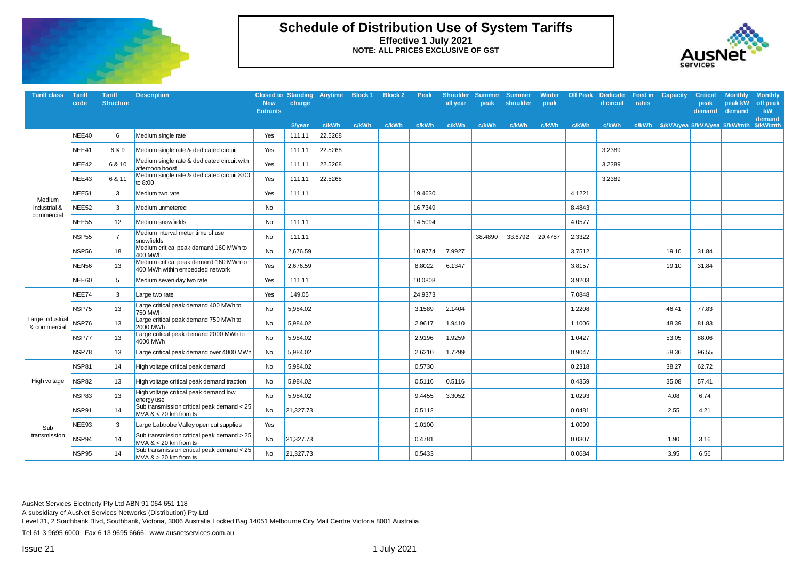

## **Schedule of Distribution Use of System Tariffs Effective 1 July 2021 NOTE: ALL PRICES EXCLUSIVE OF GST**



| <b>Tariff class</b>              | <b>Tariff</b><br>code | <b>Tariff</b><br><b>Structure</b> | <b>Description</b>                                                        | <b>New</b><br><b>Entrants</b> | Closed to Standing Anytime Block 1 Block 2<br>charge |         |       |       | Peak    | <b>Shoulder</b><br>all vear | <b>Summer</b><br>peak | <b>Summer</b><br>shoulder | <b>Winter</b><br>peak | <b>Off Peak</b> | <b>Dedicate</b><br>d circuit | rates | <b>Feed in Capacity</b>               | <b>Critical</b><br>peak<br>demand | <b>Monthly</b><br>peak kW<br>demand | <b>Monthly</b><br>off peak<br>kW<br>demand |
|----------------------------------|-----------------------|-----------------------------------|---------------------------------------------------------------------------|-------------------------------|------------------------------------------------------|---------|-------|-------|---------|-----------------------------|-----------------------|---------------------------|-----------------------|-----------------|------------------------------|-------|---------------------------------------|-----------------------------------|-------------------------------------|--------------------------------------------|
|                                  |                       |                                   |                                                                           |                               | \$/vear                                              | c/kWh   | c/kWh | c/kWh | c/kWh   | c/kWh                       | c/kWh                 | c/kWh                     | c/kWh                 | c/kWh           | c/kWh                        |       | c/kWh \$/kVA/yea \$/kVA/yea \$/kW/mth |                                   |                                     | \$/kW/mth                                  |
|                                  | NEE40                 | 6                                 | Medium single rate                                                        | Yes                           | 111.11                                               | 22.5268 |       |       |         |                             |                       |                           |                       |                 |                              |       |                                       |                                   |                                     |                                            |
|                                  | NEE41                 | 6 & 9                             | Medium single rate & dedicated circuit                                    | Yes                           | 111.11                                               | 22.5268 |       |       |         |                             |                       |                           |                       |                 | 3.2389                       |       |                                       |                                   |                                     |                                            |
|                                  | NEE42                 | 6 & 10                            | Medium single rate & dedicated circuit with<br>afternoon boost            | Yes                           | 111.11                                               | 22.5268 |       |       |         |                             |                       |                           |                       |                 | 3.2389                       |       |                                       |                                   |                                     |                                            |
|                                  | NEE43                 | 6 & 11                            | Medium single rate & dedicated circuit 8:00<br>to 8:00                    | Yes                           | 111.11                                               | 22.5268 |       |       |         |                             |                       |                           |                       |                 | 3.2389                       |       |                                       |                                   |                                     |                                            |
| Medium                           | NEE51                 | 3                                 | Medium two rate                                                           | Yes                           | 111.11                                               |         |       |       | 19.4630 |                             |                       |                           |                       | 4.1221          |                              |       |                                       |                                   |                                     |                                            |
| industrial &<br>commercial       | NEE52                 | 3                                 | Medium unmetered                                                          | <b>No</b>                     |                                                      |         |       |       | 16.7349 |                             |                       |                           |                       | 8.4843          |                              |       |                                       |                                   |                                     |                                            |
|                                  | NEE55                 | 12                                | Medium snowfields                                                         | No                            | 111.11                                               |         |       |       | 14.5094 |                             |                       |                           |                       | 4.0577          |                              |       |                                       |                                   |                                     |                                            |
|                                  | NSP55                 | $\overline{7}$                    | Medium interval meter time of use<br>snowfields                           | No                            | 111.11                                               |         |       |       |         |                             | 38.4890               | 33.6792                   | 29.4757               | 2.3322          |                              |       |                                       |                                   |                                     |                                            |
|                                  | NSP56                 | 18                                | Medium critical peak demand 160 MWh to<br>400 MWh                         | No                            | 2,676.59                                             |         |       |       | 10.9774 | 7.9927                      |                       |                           |                       | 3.7512          |                              |       | 19.10                                 | 31.84                             |                                     |                                            |
|                                  | NEN56                 | 13                                | Medium critical peak demand 160 MWh to<br>400 MWh within embedded network | Yes                           | 2,676.59                                             |         |       |       | 8.8022  | 6.1347                      |                       |                           |                       | 3.8157          |                              |       | 19.10                                 | 31.84                             |                                     |                                            |
|                                  | NEE60                 | 5                                 | Medium seven day two rate                                                 | Yes                           | 111.11                                               |         |       |       | 10.0808 |                             |                       |                           |                       | 3.9203          |                              |       |                                       |                                   |                                     |                                            |
|                                  | NEE74                 | 3                                 | Large two rate                                                            | Yes                           | 149.05                                               |         |       |       | 24.9373 |                             |                       |                           |                       | 7.0848          |                              |       |                                       |                                   |                                     |                                            |
|                                  | NSP75                 | 13                                | Large critical peak demand 400 MWh to<br>750 MWh                          | No                            | 5,984.02                                             |         |       |       | 3.1589  | 2.1404                      |                       |                           |                       | 1.2208          |                              |       | 46.41                                 | 77.83                             |                                     |                                            |
| Large industrial<br>& commercial | NSP76                 | 13                                | Large critical peak demand 750 MWh to<br>2000 MWh                         | No                            | 5,984.02                                             |         |       |       | 2.9617  | 1.9410                      |                       |                           |                       | 1.1006          |                              |       | 48.39                                 | 81.83                             |                                     |                                            |
|                                  | NSP77                 | 13                                | Large critical peak demand 2000 MWh to<br>4000 MWh                        | No                            | 5,984.02                                             |         |       |       | 2.9196  | 1.9259                      |                       |                           |                       | 1.0427          |                              |       | 53.05                                 | 88.06                             |                                     |                                            |
|                                  | NSP78                 | 13                                | Large critical peak demand over 4000 MWh                                  | No                            | 5,984.02                                             |         |       |       | 2.6210  | 1.7299                      |                       |                           |                       | 0.9047          |                              |       | 58.36                                 | 96.55                             |                                     |                                            |
|                                  | <b>NSP81</b>          | 14                                | High voltage critical peak demand                                         | No                            | 5,984.02                                             |         |       |       | 0.5730  |                             |                       |                           |                       | 0.2318          |                              |       | 38.27                                 | 62.72                             |                                     |                                            |
| High voltage                     | <b>NSP82</b>          | 13                                | High voltage critical peak demand traction                                | No                            | 5,984.02                                             |         |       |       | 0.5116  | 0.5116                      |                       |                           |                       | 0.4359          |                              |       | 35.08                                 | 57.41                             |                                     |                                            |
|                                  | NSP83                 | 13                                | High voltage critical peak demand low<br>eneravuse                        | No                            | 5,984.02                                             |         |       |       | 9.4455  | 3.3052                      |                       |                           |                       | 1.0293          |                              |       | 4.08                                  | 6.74                              |                                     |                                            |
|                                  | NSP91                 | 14                                | Sub transmission critical peak demand $<$ 25<br>MVA $<$ 20 km from ts     | No                            | 21,327.73                                            |         |       |       | 0.5112  |                             |                       |                           |                       | 0.0481          |                              |       | 2.55                                  | 4.21                              |                                     |                                            |
| Sub                              | NEE93                 | 3                                 | Large Labtrobe Valley open cut supplies                                   | Yes                           |                                                      |         |       |       | 1.0100  |                             |                       |                           |                       | 1.0099          |                              |       |                                       |                                   |                                     |                                            |
| transmission                     | NSP94                 | 14                                | Sub transmission critical peak demand > 25<br>$MVA < 20$ km from ts       | No                            | 21,327.73                                            |         |       |       | 0.4781  |                             |                       |                           |                       | 0.0307          |                              |       | 1.90                                  | 3.16                              |                                     |                                            |
|                                  | NSP95                 | 14                                | Sub transmission critical peak demand $<$ 25<br>$MVA > 20$ km from ts     | No                            | 21,327.73                                            |         |       |       | 0.5433  |                             |                       |                           |                       | 0.0684          |                              |       | 3.95                                  | 6.56                              |                                     |                                            |

AusNet Services Electricity Pty Ltd ABN 91 064 651 118

A subsidiary of AusNet Services Networks (Distribution) Pty Ltd

Level 31, 2 Southbank Blvd, Southbank, Victoria, 3006 Australia Locked Bag 14051 Melbourne City Mail Centre Victoria 8001 Australia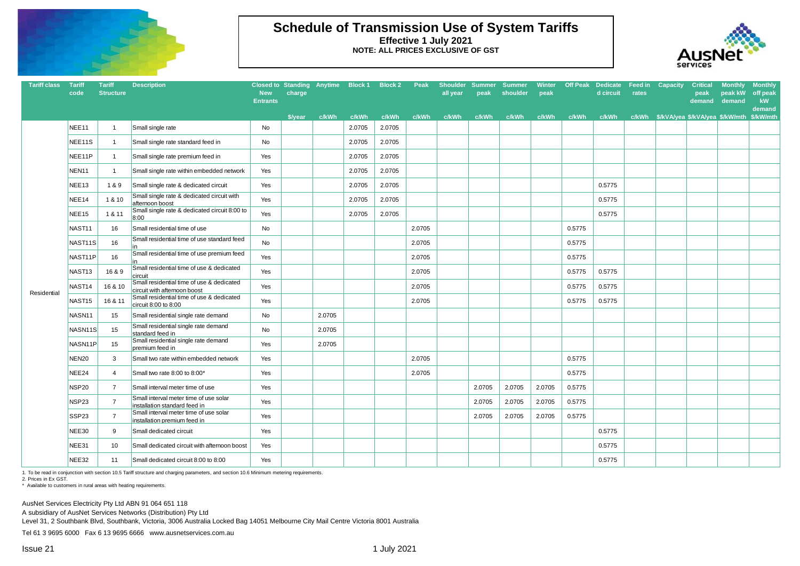

### **Schedule of Transmission Use of System Tariffs Effective 1 July 2021 NOTE: ALL PRICES EXCLUSIVE OF GST**



| <b>Tariff class</b> | Tariff<br>code      | <b>Tariff</b><br><b>Structure</b> | <b>Description</b>                                                        | <b>New</b><br><b>Entrants</b> | charge  | Closed to Standing Anytime Block 1 |        | <b>Block 2</b> | Peak   | <b>Shoulder</b><br>all year | <b>Summer</b><br>peak | <b>Summer</b><br>shoulder | <b>Winter</b><br>peak | <b>Off Peak</b> | <b>Dedicate</b><br>d circuit | Feed in<br>rates | Capacity | <b>Critical</b><br>peak<br>demand     | <b>Monthly</b><br>peak kW<br>demand | <b>Monthly</b><br>off peak<br>kW<br>demand |
|---------------------|---------------------|-----------------------------------|---------------------------------------------------------------------------|-------------------------------|---------|------------------------------------|--------|----------------|--------|-----------------------------|-----------------------|---------------------------|-----------------------|-----------------|------------------------------|------------------|----------|---------------------------------------|-------------------------------------|--------------------------------------------|
|                     |                     |                                   |                                                                           |                               | \$/year | c/kWh                              | c/kWh  | c/kWh          | c/kWh  | c/kWh                       | c/kWh                 | c/kWh                     | c/kWh                 | c/kWh           | c/kWh                        |                  |          | c/kWh \$/kVA/yea \$/kVA/yea \$/kW/mth |                                     | \$/kW/mth                                  |
|                     | NEE11               | $\overline{1}$                    | Small single rate                                                         | No                            |         |                                    | 2.0705 | 2.0705         |        |                             |                       |                           |                       |                 |                              |                  |          |                                       |                                     |                                            |
|                     | NEE11S              | $\overline{1}$                    | Small single rate standard feed in                                        | No                            |         |                                    | 2.0705 | 2.0705         |        |                             |                       |                           |                       |                 |                              |                  |          |                                       |                                     |                                            |
|                     | NEE11P              | $\overline{1}$                    | Small single rate premium feed in                                         | Yes                           |         |                                    | 2.0705 | 2.0705         |        |                             |                       |                           |                       |                 |                              |                  |          |                                       |                                     |                                            |
|                     | NEN11               | $\overline{1}$                    | Small single rate within embedded network                                 | Yes                           |         |                                    | 2.0705 | 2.0705         |        |                             |                       |                           |                       |                 |                              |                  |          |                                       |                                     |                                            |
|                     | NEE13               | 1&9                               | Small single rate & dedicated circuit                                     | Yes                           |         |                                    | 2.0705 | 2.0705         |        |                             |                       |                           |                       |                 | 0.5775                       |                  |          |                                       |                                     |                                            |
|                     | NEE14               | 1 & 10                            | Small single rate & dedicated circuit with<br>afternoon boost             | Yes                           |         |                                    | 2.0705 | 2.0705         |        |                             |                       |                           |                       |                 | 0.5775                       |                  |          |                                       |                                     |                                            |
|                     | NEE15               | 1 & 11                            | Small single rate & dedicated circuit 8:00 to<br>8:00                     | Yes                           |         |                                    | 2.0705 | 2.0705         |        |                             |                       |                           |                       |                 | 0.5775                       |                  |          |                                       |                                     |                                            |
|                     | NAST11              | 16                                | Small residential time of use                                             | No                            |         |                                    |        |                | 2.0705 |                             |                       |                           |                       | 0.5775          |                              |                  |          |                                       |                                     |                                            |
|                     | NAST <sub>11S</sub> | 16                                | Small residential time of use standard feed<br>lin                        | No                            |         |                                    |        |                | 2.0705 |                             |                       |                           |                       | 0.5775          |                              |                  |          |                                       |                                     |                                            |
|                     | NAST11P             | 16                                | Small residential time of use premium feed                                | Yes                           |         |                                    |        |                | 2.0705 |                             |                       |                           |                       | 0.5775          |                              |                  |          |                                       |                                     |                                            |
|                     | NAST13              | 16 & 9                            | Small residential time of use & dedicated<br>circuit                      | Yes                           |         |                                    |        |                | 2.0705 |                             |                       |                           |                       | 0.5775          | 0.5775                       |                  |          |                                       |                                     |                                            |
|                     | NAST <sub>14</sub>  | 16 & 10                           | Small residential time of use & dedicated<br>circuit with afternoon boost | Yes                           |         |                                    |        |                | 2.0705 |                             |                       |                           |                       | 0.5775          | 0.5775                       |                  |          |                                       |                                     |                                            |
| Residential         | NAST <sub>15</sub>  | 16 & 11                           | Small residential time of use & dedicated<br>circuit 8:00 to 8:00         | Yes                           |         |                                    |        |                | 2.0705 |                             |                       |                           |                       | 0.5775          | 0.5775                       |                  |          |                                       |                                     |                                            |
|                     | NASN11              | 15                                | Small residential single rate demand                                      | No                            |         | 2.0705                             |        |                |        |                             |                       |                           |                       |                 |                              |                  |          |                                       |                                     |                                            |
|                     | NASN <sub>11S</sub> | 15                                | Small residential single rate demand<br>standard feed in                  | No                            |         | 2.0705                             |        |                |        |                             |                       |                           |                       |                 |                              |                  |          |                                       |                                     |                                            |
|                     | NASN11P             | 15                                | Small residential single rate demand<br>premium feed in                   | Yes                           |         | 2.0705                             |        |                |        |                             |                       |                           |                       |                 |                              |                  |          |                                       |                                     |                                            |
|                     | <b>NEN20</b>        | 3                                 | Small two rate within embedded network                                    | Yes                           |         |                                    |        |                | 2.0705 |                             |                       |                           |                       | 0.5775          |                              |                  |          |                                       |                                     |                                            |
|                     | NEE24               | $\overline{4}$                    | Small two rate 8:00 to 8:00*                                              | Yes                           |         |                                    |        |                | 2.0705 |                             |                       |                           |                       | 0.5775          |                              |                  |          |                                       |                                     |                                            |
|                     | NSP20               | $\overline{7}$                    | Small interval meter time of use                                          | Yes                           |         |                                    |        |                |        |                             | 2.0705                | 2.0705                    | 2.0705                | 0.5775          |                              |                  |          |                                       |                                     |                                            |
|                     | NSP23               | 7                                 | Small interval meter time of use solar<br>installation standard feed in   | Yes                           |         |                                    |        |                |        |                             | 2.0705                | 2.0705                    | 2.0705                | 0.5775          |                              |                  |          |                                       |                                     |                                            |
|                     | SSP23               | $\overline{7}$                    | Small interval meter time of use solar<br>installation premium feed in    | Yes                           |         |                                    |        |                |        |                             | 2.0705                | 2.0705                    | 2.0705                | 0.5775          |                              |                  |          |                                       |                                     |                                            |
|                     | NEE30               | 9                                 | Small dedicated circuit                                                   | Yes                           |         |                                    |        |                |        |                             |                       |                           |                       |                 | 0.5775                       |                  |          |                                       |                                     |                                            |
|                     | NEE31               | 10                                | Small dedicated circuit with afternoon boost                              | Yes                           |         |                                    |        |                |        |                             |                       |                           |                       |                 | 0.5775                       |                  |          |                                       |                                     |                                            |
|                     | NEE32               | 11                                | Small dedicated circuit 8:00 to 8:00                                      | Yes                           |         |                                    |        |                |        |                             |                       |                           |                       |                 | 0.5775                       |                  |          |                                       |                                     |                                            |

1. To be read in conjunction with section 10.5 Tariff structure and charging parameters, and section 10.6 Minimum metering requirements.

2. Prices in Ex GST.

\* Available to customers in rural areas with heating requirements.

AusNet Services Electricity Pty Ltd ABN 91 064 651 118

A subsidiary of AusNet Services Networks (Distribution) Pty Ltd

Level 31, 2 Southbank Blvd, Southbank, Victoria, 3006 Australia Locked Bag 14051 Melbourne City Mail Centre Victoria 8001 Australia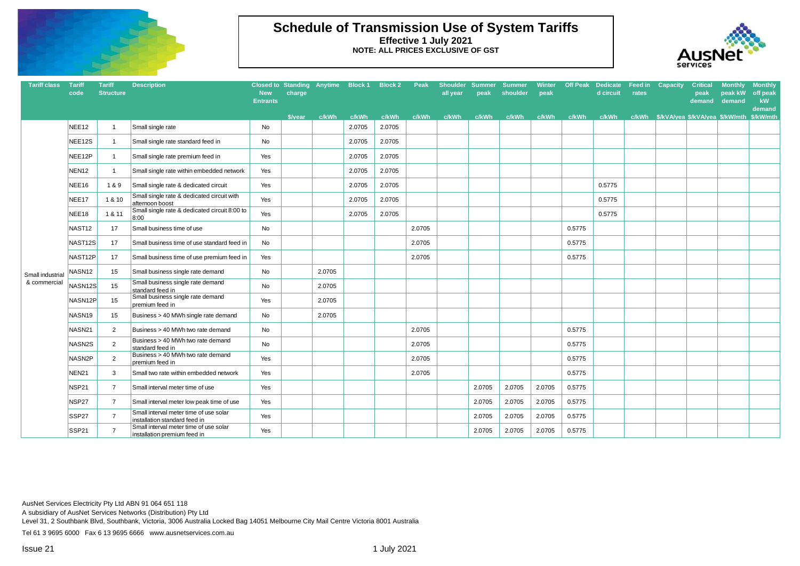

## **Schedule of Transmission Use of System Tariffs Effective 1 July 2021 NOTE: ALL PRICES EXCLUSIVE OF GST**



| <b>Tariff class</b>             | <b>Tariff</b><br>code | <b>Tariff</b><br><b>Structure</b> | <b>Description</b>                                                      | <b>New</b><br><b>Entrants</b> | <b>Closed to Standing Anytime</b><br>charge |        | Block 1 | <b>Block 2</b> | Peak   | <b>Shoulder</b><br>all year | <b>Summer</b><br>peak | <b>Summer</b><br>shoulder | Winter<br>peak | <b>Off Peak</b> | <b>Dedicate</b><br>d circuit | Feed in<br>rates | Capacity | <b>Critical</b><br>peak<br>demand | <b>Monthly</b><br>peak kW<br>demand | <b>Monthly</b><br>off peak<br>kW<br>demand |
|---------------------------------|-----------------------|-----------------------------------|-------------------------------------------------------------------------|-------------------------------|---------------------------------------------|--------|---------|----------------|--------|-----------------------------|-----------------------|---------------------------|----------------|-----------------|------------------------------|------------------|----------|-----------------------------------|-------------------------------------|--------------------------------------------|
|                                 |                       |                                   |                                                                         |                               | <b><i><u>S/vear</u></i></b>                 | c/kWh  | c/kWh   | c/kWh          | c/kWh  | c/kWh                       | c/kWh                 | c/kWh                     | c/kWh          | c/kWh           | c/kWh                        |                  |          |                                   |                                     | \$/kW/mth                                  |
|                                 | NEE <sub>12</sub>     | $\overline{1}$                    | Small single rate                                                       | No                            |                                             |        | 2.0705  | 2.0705         |        |                             |                       |                           |                |                 |                              |                  |          |                                   |                                     |                                            |
|                                 | NEE12S                | $\overline{1}$                    | Small single rate standard feed in                                      | No                            |                                             |        | 2.0705  | 2.0705         |        |                             |                       |                           |                |                 |                              |                  |          |                                   |                                     |                                            |
|                                 | NEE <sub>12P</sub>    | $\overline{1}$                    | Small single rate premium feed in                                       | Yes                           |                                             |        | 2.0705  | 2.0705         |        |                             |                       |                           |                |                 |                              |                  |          |                                   |                                     |                                            |
|                                 | NEN <sub>12</sub>     | $\mathbf{1}$                      | Small single rate within embedded network                               | Yes                           |                                             |        | 2.0705  | 2.0705         |        |                             |                       |                           |                |                 |                              |                  |          |                                   |                                     |                                            |
|                                 | NEE <sub>16</sub>     | 1&9                               | Small single rate & dedicated circuit                                   | Yes                           |                                             |        | 2.0705  | 2.0705         |        |                             |                       |                           |                |                 | 0.5775                       |                  |          |                                   |                                     |                                            |
|                                 | NEE <sub>17</sub>     | 1 & 10                            | Small single rate & dedicated circuit with<br>afternoon boost           | Yes                           |                                             |        | 2.0705  | 2.0705         |        |                             |                       |                           |                |                 | 0.5775                       |                  |          |                                   |                                     |                                            |
|                                 | NEE18                 | 1 & 11                            | Small single rate & dedicated circuit 8:00 to<br>8:00                   | Yes                           |                                             |        | 2.0705  | 2.0705         |        |                             |                       |                           |                |                 | 0.5775                       |                  |          |                                   |                                     |                                            |
|                                 | NAST <sub>12</sub>    | 17                                | Small business time of use                                              | No                            |                                             |        |         |                | 2.0705 |                             |                       |                           |                | 0.5775          |                              |                  |          |                                   |                                     |                                            |
|                                 | NAST12S               | 17                                | Small business time of use standard feed in                             | No                            |                                             |        |         |                | 2.0705 |                             |                       |                           |                | 0.5775          |                              |                  |          |                                   |                                     |                                            |
|                                 | NAST <sub>12P</sub>   | 17                                | Small business time of use premium feed in                              | Yes                           |                                             |        |         |                | 2.0705 |                             |                       |                           |                | 0.5775          |                              |                  |          |                                   |                                     |                                            |
| Small industria<br>& commercial | NASN <sub>12</sub>    | 15                                | Small business single rate demand                                       | No                            |                                             | 2.0705 |         |                |        |                             |                       |                           |                |                 |                              |                  |          |                                   |                                     |                                            |
|                                 | NASN <sub>12S</sub>   | 15                                | Small business single rate demand<br>standard feed in                   | No                            |                                             | 2.0705 |         |                |        |                             |                       |                           |                |                 |                              |                  |          |                                   |                                     |                                            |
|                                 | NASN <sub>12P</sub>   | 15                                | Small business single rate demand<br>premium feed in                    | Yes                           |                                             | 2.0705 |         |                |        |                             |                       |                           |                |                 |                              |                  |          |                                   |                                     |                                            |
|                                 | NASN <sub>19</sub>    | 15                                | Business > 40 MWh single rate demand                                    | No                            |                                             | 2.0705 |         |                |        |                             |                       |                           |                |                 |                              |                  |          |                                   |                                     |                                            |
|                                 | NASN21                | 2                                 | Business > 40 MWh two rate demand                                       | No                            |                                             |        |         |                | 2.0705 |                             |                       |                           |                | 0.5775          |                              |                  |          |                                   |                                     |                                            |
|                                 | NASN <sub>2</sub> S   | 2                                 | Business > 40 MWh two rate demand<br>standard feed in                   | No                            |                                             |        |         |                | 2.0705 |                             |                       |                           |                | 0.5775          |                              |                  |          |                                   |                                     |                                            |
|                                 | NASN <sub>2P</sub>    | 2                                 | Business > 40 MWh two rate demand<br>premium feed in                    | Yes                           |                                             |        |         |                | 2.0705 |                             |                       |                           |                | 0.5775          |                              |                  |          |                                   |                                     |                                            |
|                                 | <b>NEN21</b>          | 3                                 | Small two rate within embedded network                                  | Yes                           |                                             |        |         |                | 2.0705 |                             |                       |                           |                | 0.5775          |                              |                  |          |                                   |                                     |                                            |
|                                 | NSP21                 | $\overline{7}$                    | Small interval meter time of use                                        | Yes                           |                                             |        |         |                |        |                             | 2.0705                | 2.0705                    | 2.0705         | 0.5775          |                              |                  |          |                                   |                                     |                                            |
|                                 | NSP27                 | $\overline{7}$                    | Small interval meter low peak time of use                               | Yes                           |                                             |        |         |                |        |                             | 2.0705                | 2.0705                    | 2.0705         | 0.5775          |                              |                  |          |                                   |                                     |                                            |
|                                 | SSP <sub>27</sub>     | $\overline{7}$                    | Small interval meter time of use solar<br>installation standard feed in | Yes                           |                                             |        |         |                |        |                             | 2.0705                | 2.0705                    | 2.0705         | 0.5775          |                              |                  |          |                                   |                                     |                                            |
|                                 | SSP21                 | $\overline{7}$                    | Small interval meter time of use solar<br>installation premium feed in  | Yes                           |                                             |        |         |                |        |                             | 2.0705                | 2.0705                    | 2.0705         | 0.5775          |                              |                  |          |                                   |                                     |                                            |

AusNet Services Electricity Pty Ltd ABN 91 064 651 118

A subsidiary of AusNet Services Networks (Distribution) Pty Ltd

Level 31, 2 Southbank Blvd, Southbank, Victoria, 3006 Australia Locked Bag 14051 Melbourne City Mail Centre Victoria 8001 Australia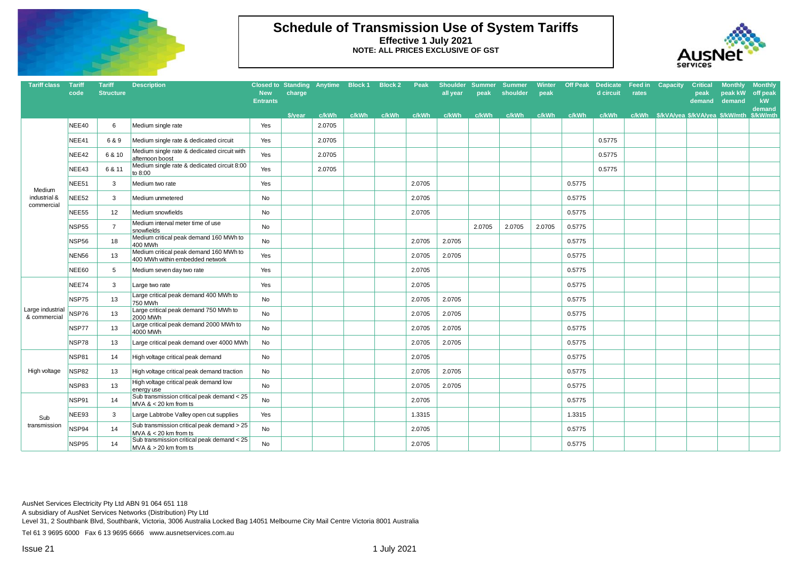

## **Schedule of Transmission Use of System Tariffs Effective 1 July 2021 NOTE: ALL PRICES EXCLUSIVE OF GST**



| <b>Tariff class</b>              | <b>Tariff</b><br>code | <b>Tariff</b><br><b>Structure</b> | <b>Description</b>                                                        | <b>New</b><br><b>Entrants</b> | Closed to Standing Anytime Block 1 Block 2<br>charge |        |       |       | Peak   | all vear | Shoulder Summer Summer<br>peak | shoulder | peak   |        | Winter Off Peak Dedicate Feed in Capacity<br>d circuit | rates | <b>Critical</b><br>peak<br>demand     | <b>Monthly</b><br>peak kW<br>demand | <b>Monthly</b><br>off peak<br>kW<br>demand |
|----------------------------------|-----------------------|-----------------------------------|---------------------------------------------------------------------------|-------------------------------|------------------------------------------------------|--------|-------|-------|--------|----------|--------------------------------|----------|--------|--------|--------------------------------------------------------|-------|---------------------------------------|-------------------------------------|--------------------------------------------|
|                                  |                       |                                   |                                                                           |                               | \$/year                                              | c/kWh  | c/kWh | c/kWh | c/kWh  | c/kWh    | c/kWh                          | c/kWh    | c/kWh  | c/kWh  | c/kWh                                                  |       | c/kWh \$/kVA/yea \$/kVA/yea \$/kW/mth |                                     | \$/kW/mth                                  |
|                                  | NEE40                 | 6                                 | Medium single rate                                                        | Yes                           |                                                      | 2.0705 |       |       |        |          |                                |          |        |        |                                                        |       |                                       |                                     |                                            |
|                                  | NEE41                 | 6 & 9                             | Medium single rate & dedicated circuit                                    | Yes                           |                                                      | 2.0705 |       |       |        |          |                                |          |        |        | 0.5775                                                 |       |                                       |                                     |                                            |
|                                  | NEE42                 | 6 & 10                            | Medium single rate & dedicated circuit with<br>afternoon boost            | Yes                           |                                                      | 2.0705 |       |       |        |          |                                |          |        |        | 0.5775                                                 |       |                                       |                                     |                                            |
|                                  | NEE43                 | 6 & 11                            | Medium single rate & dedicated circuit 8:00<br>to 8:00                    | Yes                           |                                                      | 2.0705 |       |       |        |          |                                |          |        |        | 0.5775                                                 |       |                                       |                                     |                                            |
| Medium                           | NEE51                 | 3                                 | Medium two rate                                                           | Yes                           |                                                      |        |       |       | 2.0705 |          |                                |          |        | 0.5775 |                                                        |       |                                       |                                     |                                            |
| industrial &<br>commercial       | NEE <sub>52</sub>     | 3                                 | Medium unmetered                                                          | No                            |                                                      |        |       |       | 2.0705 |          |                                |          |        | 0.5775 |                                                        |       |                                       |                                     |                                            |
|                                  | NEE55                 | 12                                | Medium snowfields                                                         | No                            |                                                      |        |       |       | 2.0705 |          |                                |          |        | 0.5775 |                                                        |       |                                       |                                     |                                            |
|                                  | <b>NSP55</b>          | $\overline{7}$                    | Medium interval meter time of use<br>snowfields                           | No                            |                                                      |        |       |       |        |          | 2.0705                         | 2.0705   | 2.0705 | 0.5775 |                                                        |       |                                       |                                     |                                            |
|                                  | NSP56                 | 18                                | Medium critical peak demand 160 MWh to<br>400 MWh                         | No                            |                                                      |        |       |       | 2.0705 | 2.0705   |                                |          |        | 0.5775 |                                                        |       |                                       |                                     |                                            |
|                                  | <b>NEN56</b>          | 13                                | Medium critical peak demand 160 MWh to<br>400 MWh within embedded network | Yes                           |                                                      |        |       |       | 2.0705 | 2.0705   |                                |          |        | 0.5775 |                                                        |       |                                       |                                     |                                            |
|                                  | <b>NEE60</b>          | 5                                 | Medium seven day two rate                                                 | Yes                           |                                                      |        |       |       | 2.0705 |          |                                |          |        | 0.5775 |                                                        |       |                                       |                                     |                                            |
|                                  | NEE74                 | 3                                 | Large two rate                                                            | Yes                           |                                                      |        |       |       | 2.0705 |          |                                |          |        | 0.5775 |                                                        |       |                                       |                                     |                                            |
|                                  | NSP75                 | 13                                | Large critical peak demand 400 MWh to<br>750 MWh                          | No                            |                                                      |        |       |       | 2.0705 | 2.0705   |                                |          |        | 0.5775 |                                                        |       |                                       |                                     |                                            |
| Large industrial<br>& commercial | NSP76                 | 13                                | Large critical peak demand 750 MWh to<br>2000 MWh                         | No                            |                                                      |        |       |       | 2.0705 | 2.0705   |                                |          |        | 0.5775 |                                                        |       |                                       |                                     |                                            |
|                                  | NSP77                 | 13                                | Large critical peak demand 2000 MWh to<br>4000 MWh                        | <b>No</b>                     |                                                      |        |       |       | 2.0705 | 2.0705   |                                |          |        | 0.5775 |                                                        |       |                                       |                                     |                                            |
|                                  | NSP78                 | 13                                | Large critical peak demand over 4000 MWh                                  | No                            |                                                      |        |       |       | 2.0705 | 2.0705   |                                |          |        | 0.5775 |                                                        |       |                                       |                                     |                                            |
|                                  | NSP81                 | 14                                | High voltage critical peak demand                                         | <b>No</b>                     |                                                      |        |       |       | 2.0705 |          |                                |          |        | 0.5775 |                                                        |       |                                       |                                     |                                            |
| High voltage                     | <b>NSP82</b>          | 13                                | High voltage critical peak demand traction                                | No                            |                                                      |        |       |       | 2.0705 | 2.0705   |                                |          |        | 0.5775 |                                                        |       |                                       |                                     |                                            |
|                                  | NSP83                 | 13                                | High voltage critical peak demand low<br>energy use                       | No                            |                                                      |        |       |       | 2.0705 | 2.0705   |                                |          |        | 0.5775 |                                                        |       |                                       |                                     |                                            |
|                                  | NSP91                 | 14                                | Sub transmission critical peak demand < 25<br>MVA $<$ 20 km from ts       | No                            |                                                      |        |       |       | 2.0705 |          |                                |          |        | 0.5775 |                                                        |       |                                       |                                     |                                            |
| Sub                              | NEE93                 | 3                                 | Large Labtrobe Valley open cut supplies                                   | Yes                           |                                                      |        |       |       | 1.3315 |          |                                |          |        | 1.3315 |                                                        |       |                                       |                                     |                                            |
| transmission                     | NSP94                 | 14                                | Sub transmission critical peak demand > 25<br>MVA $<$ 20 km from ts       | No                            |                                                      |        |       |       | 2.0705 |          |                                |          |        | 0.5775 |                                                        |       |                                       |                                     |                                            |
|                                  | NSP95                 | 14                                | Sub transmission critical peak demand < 25<br>$MVA > 20$ km from ts       | No                            |                                                      |        |       |       | 2.0705 |          |                                |          |        | 0.5775 |                                                        |       |                                       |                                     |                                            |

AusNet Services Electricity Pty Ltd ABN 91 064 651 118

A subsidiary of AusNet Services Networks (Distribution) Pty Ltd

Level 31, 2 Southbank Blvd, Southbank, Victoria, 3006 Australia Locked Bag 14051 Melbourne City Mail Centre Victoria 8001 Australia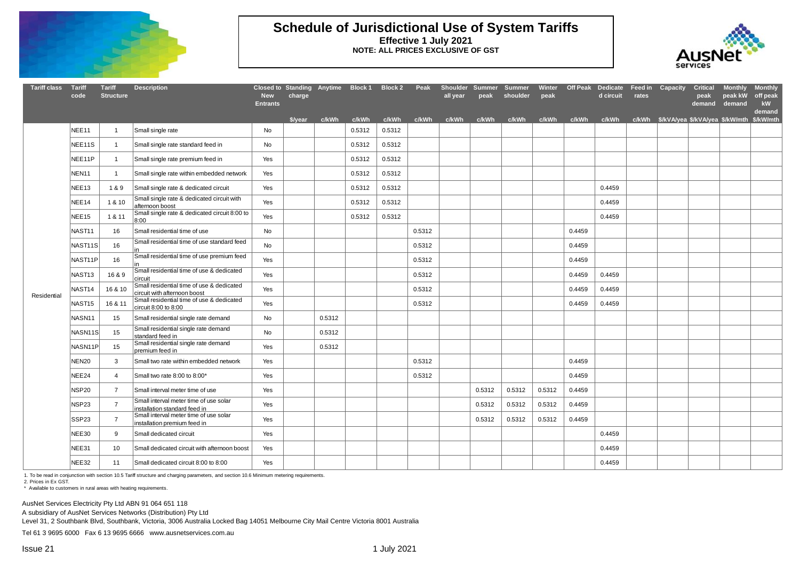

#### **Schedule of Jurisdictional Use of System Tariffs Effective 1 July 2021 NOTE: ALL PRICES EXCLUSIVE OF GST**



| <b>Tariff class</b> | <b>Tariff</b><br>code | <b>Tariff</b><br><b>Structure</b> | <b>Description</b>                                                        | <b>New</b><br><b>Entrants</b> | Closed to Standing Anytime Block 1 Block 2<br>charge |               |        |        | Peak   | Shoulder Summer Summer<br>all year                                              | peak   | shoulder | peak   |        | Winter Off Peak Dedicate Feed in Capacity<br>d circuit | rates | <b>Critical</b><br>peak<br>demand | Monthly<br>peak kW<br>demand | <b>Monthly</b><br>off peak<br>kW |
|---------------------|-----------------------|-----------------------------------|---------------------------------------------------------------------------|-------------------------------|------------------------------------------------------|---------------|--------|--------|--------|---------------------------------------------------------------------------------|--------|----------|--------|--------|--------------------------------------------------------|-------|-----------------------------------|------------------------------|----------------------------------|
|                     |                       |                                   |                                                                           |                               |                                                      | \$/vear c/kWh | c/kWh  | c/kWh  |        | c/kWh c/kWh c/kWh c/kWh c/kWh c/kWh c/kWh c/kWh \$/kVA/vea \$/kVA/vea \$/kW/mth |        |          |        |        |                                                        |       |                                   |                              | demand<br>\$/kW/mth              |
|                     | NEE11                 | $\mathbf{1}$                      | Small single rate                                                         | <b>No</b>                     |                                                      |               | 0.5312 | 0.5312 |        |                                                                                 |        |          |        |        |                                                        |       |                                   |                              |                                  |
|                     | NEE11S                | $\mathbf{1}$                      | Small single rate standard feed in                                        | No                            |                                                      |               | 0.5312 | 0.5312 |        |                                                                                 |        |          |        |        |                                                        |       |                                   |                              |                                  |
|                     | NEE11P                | $\mathbf{1}$                      | Small single rate premium feed in                                         | Yes                           |                                                      |               | 0.5312 | 0.5312 |        |                                                                                 |        |          |        |        |                                                        |       |                                   |                              |                                  |
|                     | NEN11                 | $\overline{1}$                    | Small single rate within embedded network                                 | Yes                           |                                                      |               | 0.5312 | 0.5312 |        |                                                                                 |        |          |        |        |                                                        |       |                                   |                              |                                  |
|                     | NEE <sub>13</sub>     | 1&9                               | Small single rate & dedicated circuit                                     | Yes                           |                                                      |               | 0.5312 | 0.5312 |        |                                                                                 |        |          |        |        | 0.4459                                                 |       |                                   |                              |                                  |
|                     | NEE14                 | 1 & 10                            | Small single rate & dedicated circuit with<br>afternoon boost             | Yes                           |                                                      |               | 0.5312 | 0.5312 |        |                                                                                 |        |          |        |        | 0.4459                                                 |       |                                   |                              |                                  |
|                     | NEE15                 | 1 & 11                            | Small single rate & dedicated circuit 8:00 to<br>8:00                     | Yes                           |                                                      |               | 0.5312 | 0.5312 |        |                                                                                 |        |          |        |        | 0.4459                                                 |       |                                   |                              |                                  |
|                     | NAST <sub>11</sub>    | 16                                | Small residential time of use                                             | No                            |                                                      |               |        |        | 0.5312 |                                                                                 |        |          |        | 0.4459 |                                                        |       |                                   |                              |                                  |
|                     | NAST11S               | 16                                | Small residential time of use standard feed                               | <b>No</b>                     |                                                      |               |        |        | 0.5312 |                                                                                 |        |          |        | 0.4459 |                                                        |       |                                   |                              |                                  |
|                     | NAST11P               | 16                                | Small residential time of use premium feed                                | Yes                           |                                                      |               |        |        | 0.5312 |                                                                                 |        |          |        | 0.4459 |                                                        |       |                                   |                              |                                  |
| Residential         | NAST <sub>13</sub>    | 16 & 9                            | Small residential time of use & dedicated<br>circuit                      | Yes                           |                                                      |               |        |        | 0.5312 |                                                                                 |        |          |        | 0.4459 | 0.4459                                                 |       |                                   |                              |                                  |
|                     | NAST <sub>14</sub>    | 16 & 10                           | Small residential time of use & dedicated<br>circuit with afternoon boost | Yes                           |                                                      |               |        |        | 0.5312 |                                                                                 |        |          |        | 0.4459 | 0.4459                                                 |       |                                   |                              |                                  |
|                     | NAST <sub>15</sub>    | 16 & 11                           | Small residential time of use & dedicated<br>circuit 8:00 to 8:00         | Yes                           |                                                      |               |        |        | 0.5312 |                                                                                 |        |          |        | 0.4459 | 0.4459                                                 |       |                                   |                              |                                  |
|                     | NASN11                | 15                                | Small residential single rate demand                                      | <b>No</b>                     |                                                      | 0.5312        |        |        |        |                                                                                 |        |          |        |        |                                                        |       |                                   |                              |                                  |
|                     | NASN <sub>1S</sub>    | 15                                | Small residential single rate demand<br>standard feed in                  | No                            |                                                      | 0.5312        |        |        |        |                                                                                 |        |          |        |        |                                                        |       |                                   |                              |                                  |
|                     | NASN11P               | 15                                | Small residential single rate demand<br>premium feed in                   | Yes                           |                                                      | 0.5312        |        |        |        |                                                                                 |        |          |        |        |                                                        |       |                                   |                              |                                  |
|                     | NEN <sub>20</sub>     | 3                                 | Small two rate within embedded network                                    | Yes                           |                                                      |               |        |        | 0.5312 |                                                                                 |        |          |        | 0.4459 |                                                        |       |                                   |                              |                                  |
|                     | NEE24                 | $\overline{4}$                    | Small two rate 8:00 to 8:00*                                              | Yes                           |                                                      |               |        |        | 0.5312 |                                                                                 |        |          |        | 0.4459 |                                                        |       |                                   |                              |                                  |
|                     | <b>NSP20</b>          | $\overline{7}$                    | Small interval meter time of use                                          | Yes                           |                                                      |               |        |        |        |                                                                                 | 0.5312 | 0.5312   | 0.5312 | 0.4459 |                                                        |       |                                   |                              |                                  |
|                     | NSP23                 | $\overline{7}$                    | Small interval meter time of use solar<br>installation standard feed in   | Yes                           |                                                      |               |        |        |        |                                                                                 | 0.5312 | 0.5312   | 0.5312 | 0.4459 |                                                        |       |                                   |                              |                                  |
|                     | SSP <sub>23</sub>     | $\overline{7}$                    | Small interval meter time of use solar<br>installation premium feed in    | Yes                           |                                                      |               |        |        |        |                                                                                 | 0.5312 | 0.5312   | 0.5312 | 0.4459 |                                                        |       |                                   |                              |                                  |
|                     | NEE30                 | 9                                 | Small dedicated circuit                                                   | Yes                           |                                                      |               |        |        |        |                                                                                 |        |          |        |        | 0.4459                                                 |       |                                   |                              |                                  |
|                     | NEE31                 | 10                                | Small dedicated circuit with afternoon boost                              | Yes                           |                                                      |               |        |        |        |                                                                                 |        |          |        |        | 0.4459                                                 |       |                                   |                              |                                  |
|                     | NEE32                 | 11                                | Small dedicated circuit 8:00 to 8:00                                      | Yes                           |                                                      |               |        |        |        |                                                                                 |        |          |        |        | 0.4459                                                 |       |                                   |                              |                                  |

1. To be read in conjunction with section 10.5 Tariff structure and charging parameters, and section 10.6 Minimum metering requirements.

2. Prices in Ex GST.

\* Available to customers in rural areas with heating requirements.

AusNet Services Electricity Pty Ltd ABN 91 064 651 118

A subsidiary of AusNet Services Networks (Distribution) Pty Ltd

Level 31, 2 Southbank Blvd, Southbank, Victoria, 3006 Australia Locked Bag 14051 Melbourne City Mail Centre Victoria 8001 Australia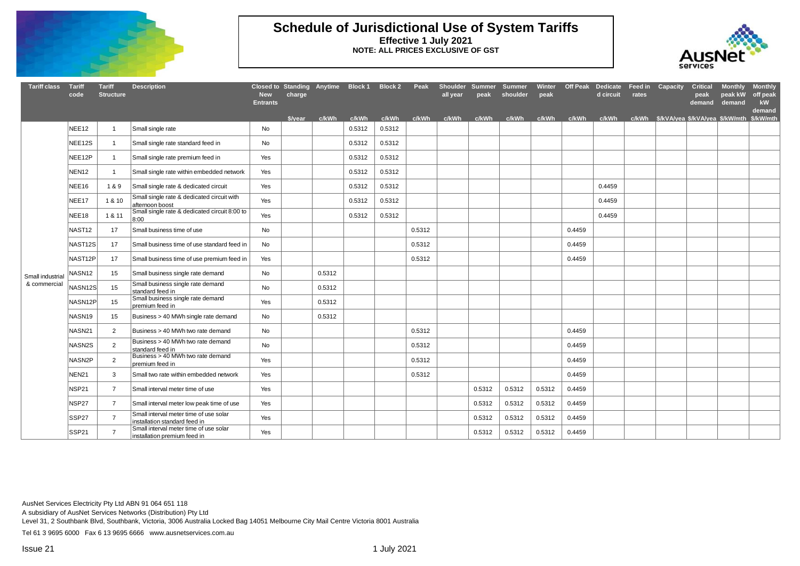

#### **Schedule of Jurisdictional Use of System Tariffs Effective 1 July 2021 NOTE: ALL PRICES EXCLUSIVE OF GST**



| <b>Tariff class</b>             | <b>Tariff</b><br>code | <b>Tariff</b><br><b>Structure</b> | <b>Description</b>                                                      | <b>New</b><br><b>Entrants</b> | Closed to Standing Anytime Block 1 Block 2<br>charge |        |        |        | Peak   | all year    | peak   | Shoulder Summer Summer<br>shoulder                                           | Winter<br>peak |        | <b>Off Peak Dedicate</b><br>d circuit | Feed in<br>rates | Capacity | <b>Critical</b><br>peak<br>demand | <b>Monthly</b><br>peak kW<br>demand | <b>Monthly</b><br>off peak<br>kW<br>demand |
|---------------------------------|-----------------------|-----------------------------------|-------------------------------------------------------------------------|-------------------------------|------------------------------------------------------|--------|--------|--------|--------|-------------|--------|------------------------------------------------------------------------------|----------------|--------|---------------------------------------|------------------|----------|-----------------------------------|-------------------------------------|--------------------------------------------|
|                                 |                       |                                   |                                                                         |                               | \$/vear c/kWh                                        |        | c/kWh  | c/kWh  |        | c/kWh c/kWh |        | c/kWh c/kWh c/kWh c/kWh c/kWh c/kWh s/kVA/vea \$/kVA/vea \$/kW/mth \$/kW/mth |                |        |                                       |                  |          |                                   |                                     |                                            |
|                                 | NEE <sub>12</sub>     | $\mathbf{1}$                      | Small single rate                                                       | No                            |                                                      |        | 0.5312 | 0.5312 |        |             |        |                                                                              |                |        |                                       |                  |          |                                   |                                     |                                            |
|                                 | NEE12S                | $\mathbf{1}$                      | Small single rate standard feed in                                      | No                            |                                                      |        | 0.5312 | 0.5312 |        |             |        |                                                                              |                |        |                                       |                  |          |                                   |                                     |                                            |
|                                 | NEE12P                | $\blacktriangleleft$              | Small single rate premium feed in                                       | Yes                           |                                                      |        | 0.5312 | 0.5312 |        |             |        |                                                                              |                |        |                                       |                  |          |                                   |                                     |                                            |
|                                 | NEN <sub>12</sub>     | $\mathbf{1}$                      | Small single rate within embedded network                               | Yes                           |                                                      |        | 0.5312 | 0.5312 |        |             |        |                                                                              |                |        |                                       |                  |          |                                   |                                     |                                            |
|                                 | NEE16                 | 1&9                               | Small single rate & dedicated circuit                                   | Yes                           |                                                      |        | 0.5312 | 0.5312 |        |             |        |                                                                              |                |        | 0.4459                                |                  |          |                                   |                                     |                                            |
|                                 | NEE17                 | 1 & 10                            | Small single rate & dedicated circuit with<br>afternoon boost           | Yes                           |                                                      |        | 0.5312 | 0.5312 |        |             |        |                                                                              |                |        | 0.4459                                |                  |          |                                   |                                     |                                            |
|                                 | NEE18                 | 1 & 11                            | Small single rate & dedicated circuit 8:00 to<br>8:00                   | Yes                           |                                                      |        | 0.5312 | 0.5312 |        |             |        |                                                                              |                |        | 0.4459                                |                  |          |                                   |                                     |                                            |
|                                 | NAST <sub>12</sub>    | 17                                | Small business time of use                                              | No                            |                                                      |        |        |        | 0.5312 |             |        |                                                                              |                | 0.4459 |                                       |                  |          |                                   |                                     |                                            |
|                                 | NAST12S               | 17                                | Small business time of use standard feed in                             | No                            |                                                      |        |        |        | 0.5312 |             |        |                                                                              |                | 0.4459 |                                       |                  |          |                                   |                                     |                                            |
|                                 | NAST12P               | 17                                | Small business time of use premium feed in                              | Yes                           |                                                      |        |        |        | 0.5312 |             |        |                                                                              |                | 0.4459 |                                       |                  |          |                                   |                                     |                                            |
| Small industria<br>& commercial | NASN12                | 15                                | Small business single rate demand                                       | No                            |                                                      | 0.5312 |        |        |        |             |        |                                                                              |                |        |                                       |                  |          |                                   |                                     |                                            |
|                                 | NASN <sub>12S</sub>   | 15                                | Small business single rate demand<br>standard feed in                   | No                            |                                                      | 0.5312 |        |        |        |             |        |                                                                              |                |        |                                       |                  |          |                                   |                                     |                                            |
|                                 | NASN12P               | 15                                | Small business single rate demand<br>premium feed in                    | Yes                           |                                                      | 0.5312 |        |        |        |             |        |                                                                              |                |        |                                       |                  |          |                                   |                                     |                                            |
|                                 | NASN19                | 15                                | Business > 40 MWh single rate demand                                    | No                            |                                                      | 0.5312 |        |        |        |             |        |                                                                              |                |        |                                       |                  |          |                                   |                                     |                                            |
|                                 | NASN21                | 2                                 | Business > 40 MWh two rate demand                                       | <b>No</b>                     |                                                      |        |        |        | 0.5312 |             |        |                                                                              |                | 0.4459 |                                       |                  |          |                                   |                                     |                                            |
|                                 | NASN2S                | 2                                 | Business > 40 MWh two rate demand<br>standard feed in                   | No                            |                                                      |        |        |        | 0.5312 |             |        |                                                                              |                | 0.4459 |                                       |                  |          |                                   |                                     |                                            |
|                                 | NASN2P                | $\overline{2}$                    | Business > 40 MWh two rate demand<br>premium feed in                    | Yes                           |                                                      |        |        |        | 0.5312 |             |        |                                                                              |                | 0.4459 |                                       |                  |          |                                   |                                     |                                            |
|                                 | <b>NEN21</b>          | 3                                 | Small two rate within embedded network                                  | Yes                           |                                                      |        |        |        | 0.5312 |             |        |                                                                              |                | 0.4459 |                                       |                  |          |                                   |                                     |                                            |
|                                 | NSP21                 | $\overline{7}$                    | Small interval meter time of use                                        | Yes                           |                                                      |        |        |        |        |             | 0.5312 | 0.5312                                                                       | 0.5312         | 0.4459 |                                       |                  |          |                                   |                                     |                                            |
|                                 | NSP27                 | $\overline{7}$                    | Small interval meter low peak time of use                               | Yes                           |                                                      |        |        |        |        |             | 0.5312 | 0.5312                                                                       | 0.5312         | 0.4459 |                                       |                  |          |                                   |                                     |                                            |
|                                 | SSP27                 | $\overline{7}$                    | Small interval meter time of use solar<br>installation standard feed in | Yes                           |                                                      |        |        |        |        |             | 0.5312 | 0.5312                                                                       | 0.5312         | 0.4459 |                                       |                  |          |                                   |                                     |                                            |
|                                 | SSP21                 | $\overline{7}$                    | Small interval meter time of use solar<br>installation premium feed in  | Yes                           |                                                      |        |        |        |        |             | 0.5312 | 0.5312                                                                       | 0.5312         | 0.4459 |                                       |                  |          |                                   |                                     |                                            |

AusNet Services Electricity Pty Ltd ABN 91 064 651 118

A subsidiary of AusNet Services Networks (Distribution) Pty Ltd

Level 31, 2 Southbank Blvd, Southbank, Victoria, 3006 Australia Locked Bag 14051 Melbourne City Mail Centre Victoria 8001 Australia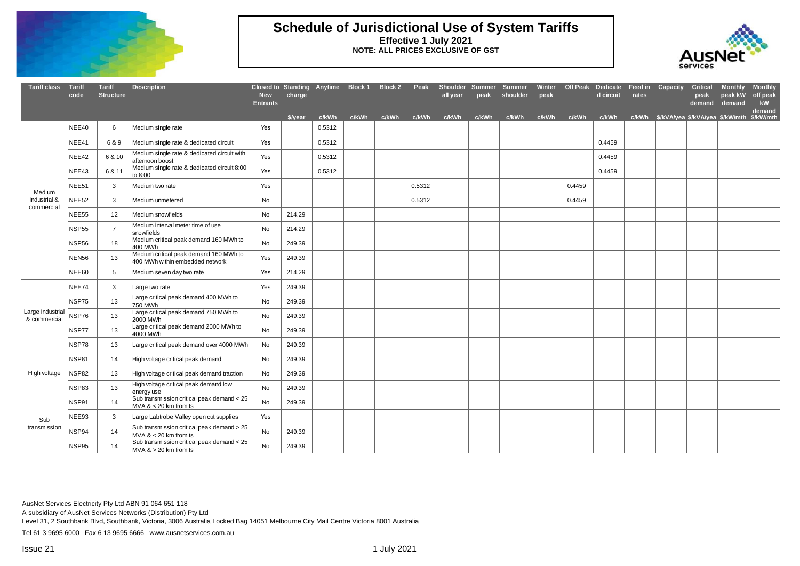

#### **Schedule of Jurisdictional Use of System Tariffs Effective 1 July 2021 NOTE: ALL PRICES EXCLUSIVE OF GST**



| <b>Tariff class</b>              | <b>Tariff</b><br>code | <b>Tariff</b><br><b>Structure</b> | <b>Description</b>                                                        | <b>New</b><br><b>Entrants</b> | Closed to Standing Anytime Block 1 Block 2<br>charge |        |       |       | Peak   | Shoulder Summer<br>all year | peak  | Summer<br>shoulder | Winter<br>peak |        | Off Peak Dedicate Feed in Capacity<br>d circuit | rates |                                       | <b>Critical</b><br>peak<br>demand | <b>Monthly</b><br>peak kW<br>demand | <b>Monthly</b><br>off peak<br><b>kW</b><br>demand |
|----------------------------------|-----------------------|-----------------------------------|---------------------------------------------------------------------------|-------------------------------|------------------------------------------------------|--------|-------|-------|--------|-----------------------------|-------|--------------------|----------------|--------|-------------------------------------------------|-------|---------------------------------------|-----------------------------------|-------------------------------------|---------------------------------------------------|
|                                  |                       |                                   |                                                                           |                               | \$/vear                                              | c/kWh  | c/kWh | c/kWh | c/kWh  | c/kWh                       | c/kWh | c/kWh              | c/kWh          | c/kWh  | c/kWh                                           |       | c/kWh \$/kVA/yea \$/kVA/yea \$/kW/mth |                                   |                                     | \$/kW/mth                                         |
|                                  | NEE40                 | 6                                 | Medium single rate                                                        | Yes                           |                                                      | 0.5312 |       |       |        |                             |       |                    |                |        |                                                 |       |                                       |                                   |                                     |                                                   |
|                                  | NEE41                 | 6 & 9                             | Medium single rate & dedicated circuit                                    | Yes                           |                                                      | 0.5312 |       |       |        |                             |       |                    |                |        | 0.4459                                          |       |                                       |                                   |                                     |                                                   |
|                                  | NEE42                 | 6 & 10                            | Medium single rate & dedicated circuit with<br>afternoon boost            | Yes                           |                                                      | 0.5312 |       |       |        |                             |       |                    |                |        | 0.4459                                          |       |                                       |                                   |                                     |                                                   |
|                                  | NEE43                 | 6 & 11                            | Medium single rate & dedicated circuit 8:00<br>to 8:00                    | Yes                           |                                                      | 0.5312 |       |       |        |                             |       |                    |                |        | 0.4459                                          |       |                                       |                                   |                                     |                                                   |
| Medium                           | NEE51                 | 3                                 | Medium two rate                                                           | Yes                           |                                                      |        |       |       | 0.5312 |                             |       |                    |                | 0.4459 |                                                 |       |                                       |                                   |                                     |                                                   |
| industrial &<br>commercial       | NEE <sub>52</sub>     | 3                                 | Medium unmetered                                                          | No                            |                                                      |        |       |       | 0.5312 |                             |       |                    |                | 0.4459 |                                                 |       |                                       |                                   |                                     |                                                   |
|                                  | NEE <sub>55</sub>     | 12                                | Medium snowfields                                                         | No                            | 214.29                                               |        |       |       |        |                             |       |                    |                |        |                                                 |       |                                       |                                   |                                     |                                                   |
|                                  | <b>NSP55</b>          | $\overline{7}$                    | Medium interval meter time of use<br>snowfields                           | No                            | 214.29                                               |        |       |       |        |                             |       |                    |                |        |                                                 |       |                                       |                                   |                                     |                                                   |
|                                  | NSP56                 | 18                                | Medium critical peak demand 160 MWh to<br>400 MWh                         | No                            | 249.39                                               |        |       |       |        |                             |       |                    |                |        |                                                 |       |                                       |                                   |                                     |                                                   |
|                                  | <b>NEN56</b>          | 13                                | Medium critical peak demand 160 MWh to<br>400 MWh within embedded network | Yes                           | 249.39                                               |        |       |       |        |                             |       |                    |                |        |                                                 |       |                                       |                                   |                                     |                                                   |
|                                  | NEE60                 | 5                                 | Medium seven day two rate                                                 | Yes                           | 214.29                                               |        |       |       |        |                             |       |                    |                |        |                                                 |       |                                       |                                   |                                     |                                                   |
|                                  | NEE74                 | 3                                 | Large two rate                                                            | Yes                           | 249.39                                               |        |       |       |        |                             |       |                    |                |        |                                                 |       |                                       |                                   |                                     |                                                   |
|                                  | NSP75                 | 13                                | Large critical peak demand 400 MWh to<br>750 MWh                          | No                            | 249.39                                               |        |       |       |        |                             |       |                    |                |        |                                                 |       |                                       |                                   |                                     |                                                   |
| Large industrial<br>& commercial | NSP76                 | 13                                | Large critical peak demand 750 MWh to<br>2000 MWh                         | No                            | 249.39                                               |        |       |       |        |                             |       |                    |                |        |                                                 |       |                                       |                                   |                                     |                                                   |
|                                  | NSP77                 | 13                                | Large critical peak demand 2000 MWh to<br>4000 MWh                        | No                            | 249.39                                               |        |       |       |        |                             |       |                    |                |        |                                                 |       |                                       |                                   |                                     |                                                   |
|                                  | NSP78                 | 13                                | Large critical peak demand over 4000 MWh                                  | No                            | 249.39                                               |        |       |       |        |                             |       |                    |                |        |                                                 |       |                                       |                                   |                                     |                                                   |
|                                  | NSP81                 | 14                                | High voltage critical peak demand                                         | No                            | 249.39                                               |        |       |       |        |                             |       |                    |                |        |                                                 |       |                                       |                                   |                                     |                                                   |
| High voltage                     | <b>NSP82</b>          | 13                                | High voltage critical peak demand traction                                | No                            | 249.39                                               |        |       |       |        |                             |       |                    |                |        |                                                 |       |                                       |                                   |                                     |                                                   |
|                                  | NSP83                 | 13                                | High voltage critical peak demand low<br>energy use                       | No                            | 249.39                                               |        |       |       |        |                             |       |                    |                |        |                                                 |       |                                       |                                   |                                     |                                                   |
|                                  | NSP91                 | 14                                | Sub transmission critical peak demand < 25<br>$MVA < 20$ km from ts       | No                            | 249.39                                               |        |       |       |        |                             |       |                    |                |        |                                                 |       |                                       |                                   |                                     |                                                   |
| Sub                              | NEE93                 | 3                                 | Large Labtrobe Valley open cut supplies                                   | Yes                           |                                                      |        |       |       |        |                             |       |                    |                |        |                                                 |       |                                       |                                   |                                     |                                                   |
| transmission                     | NSP94                 | 14                                | Sub transmission critical peak demand > 25<br>MVA $<$ 20 km from ts       | No                            | 249.39                                               |        |       |       |        |                             |       |                    |                |        |                                                 |       |                                       |                                   |                                     |                                                   |
|                                  | NSP95                 | 14                                | Sub transmission critical peak demand < 25<br>$MVA$ & > 20 km from ts     | No                            | 249.39                                               |        |       |       |        |                             |       |                    |                |        |                                                 |       |                                       |                                   |                                     |                                                   |

AusNet Services Electricity Pty Ltd ABN 91 064 651 118

A subsidiary of AusNet Services Networks (Distribution) Pty Ltd

Level 31, 2 Southbank Blvd, Southbank, Victoria, 3006 Australia Locked Bag 14051 Melbourne City Mail Centre Victoria 8001 Australia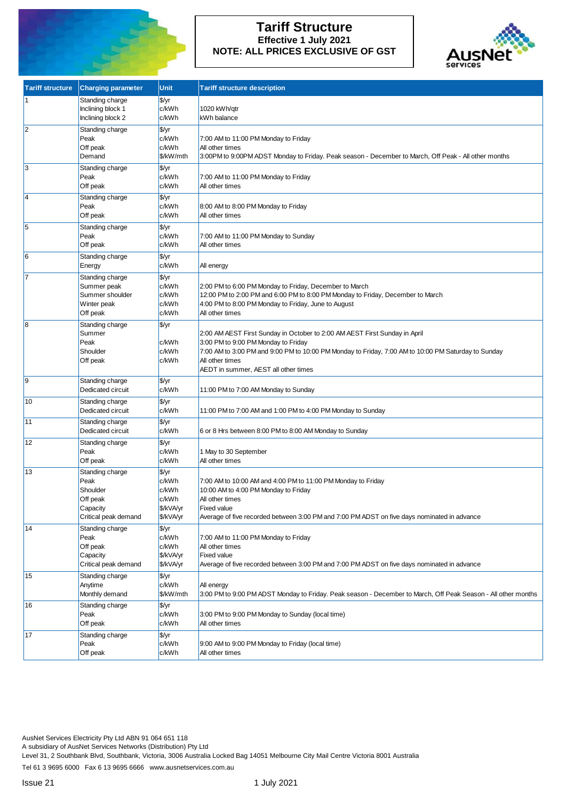

## **Tariff Structure Effective 1 July 2021 NOTE: ALL PRICES EXCLUSIVE OF GST**



| <b>Tariff structure</b> | <b>Charging parameter</b>                                                           | Unit                                                       | <b>Tariff structure description</b>                                                                                                                                                                                                                                                 |
|-------------------------|-------------------------------------------------------------------------------------|------------------------------------------------------------|-------------------------------------------------------------------------------------------------------------------------------------------------------------------------------------------------------------------------------------------------------------------------------------|
|                         | Standing charge<br>Inclining block 1<br>Inclining block 2                           | \$/yr<br>c/kWh<br>c/kWh                                    | 1020 kWh/qtr<br>kWh balance                                                                                                                                                                                                                                                         |
| $\overline{2}$          | Standing charge<br>Peak<br>Off peak<br>Demand                                       | \$/yr<br>c/kWh<br>c/kWh<br>\$/kW/mth                       | 7:00 AM to 11:00 PM Monday to Friday<br>All other times<br>3:00PM to 9:00PM ADST Monday to Friday. Peak season - December to March, Off Peak - All other months                                                                                                                     |
| 3                       | Standing charge<br>Peak<br>Off peak                                                 | \$/yr<br>c/kWh<br>c/kWh                                    | 7:00 AM to 11:00 PM Monday to Friday<br>All other times                                                                                                                                                                                                                             |
| $\overline{\mathsf{4}}$ | Standing charge<br>Peak<br>Off peak                                                 | \$/yr<br>c/kWh<br>c/kWh                                    | 8:00 AM to 8:00 PM Monday to Friday<br>All other times                                                                                                                                                                                                                              |
| 5                       | Standing charge<br>Peak<br>Off peak                                                 | \$/yr<br>c/kWh<br>c/kWh                                    | 7:00 AM to 11:00 PM Monday to Sunday<br>All other times                                                                                                                                                                                                                             |
| 6                       | Standing charge<br>Energy                                                           | \$/yr<br>c/kWh                                             | All energy                                                                                                                                                                                                                                                                          |
|                         | Standing charge<br>Summer peak<br>Summer shoulder<br>Winter peak<br>Off peak        | \$/yr<br>c/kWh<br>c/kWh<br>c/kWh<br>c/kWh                  | 2:00 PM to 6:00 PM Monday to Friday, December to March<br>12:00 PM to 2:00 PM and 6:00 PM to 8:00 PM Monday to Friday, December to March<br>4:00 PM to 8:00 PM Monday to Friday, June to August<br>All other times                                                                  |
| 8                       | Standing charge<br>Summer<br>Peak<br>Shoulder<br>Off peak                           | \$/yr<br>c/kWh<br>c/kWh<br>c/kWh                           | 2:00 AM AEST First Sunday in October to 2:00 AM AEST First Sunday in April<br>3:00 PM to 9:00 PM Monday to Friday<br>7:00 AM to 3:00 PM and 9:00 PM to 10:00 PM Monday to Friday, 7:00 AM to 10:00 PM Saturday to Sunday<br>All other times<br>AEDT in summer, AEST all other times |
| $\vert$ 9               | Standing charge<br>Dedicated circuit                                                | \$/yr<br>c/kWh                                             | 11:00 PM to 7:00 AM Monday to Sunday                                                                                                                                                                                                                                                |
| 10                      | Standing charge<br>Dedicated circuit                                                | \$/yr<br>c/kWh                                             | 11:00 PM to 7:00 AM and 1:00 PM to 4:00 PM Monday to Sunday                                                                                                                                                                                                                         |
| 11                      | Standing charge<br>Dedicated circuit                                                | \$/yr<br>c/kWh                                             | 6 or 8 Hrs between 8:00 PM to 8:00 AM Monday to Sunday                                                                                                                                                                                                                              |
| 12                      | Standing charge<br>Peak<br>Off peak                                                 | \$/yr<br>c/kWh<br>c/kWh                                    | 1 May to 30 September<br>All other times                                                                                                                                                                                                                                            |
| 13                      | Standing charge<br>Peak<br>Shoulder<br>Off peak<br>Capacity<br>Critical peak demand | \$/yr<br>c/kWh<br>c/kWh<br>c/kWh<br>\$/kVA/yr<br>\$/kVA/yr | 7:00 AM to 10:00 AM and 4:00 PM to 11:00 PM Monday to Friday<br>10:00 AM to 4:00 PM Monday to Friday<br>All other times<br><b>Fixed value</b><br>Average of five recorded between 3:00 PM and 7:00 PM ADST on five days nominated in advance                                        |
| 14                      | Standing charge<br>Peak<br>Off peak<br>Capacity<br>Critical peak demand             | \$/yr<br>c/kWh<br>c/kWh<br>\$/kVA/yr<br>\$/kVA/yr          | 7:00 AM to 11:00 PM Monday to Friday<br>All other times<br><b>Fixed value</b><br>Average of five recorded between 3:00 PM and 7:00 PM ADST on five days nominated in advance                                                                                                        |
| 15                      | Standing charge<br>Anytime<br>Monthly demand                                        | \$/yr<br>c/kWh<br>\$/kW/mth                                | All energy<br>3:00 PM to 9:00 PM ADST Monday to Friday. Peak season - December to March, Off Peak Season - All other months                                                                                                                                                         |
| 16                      | Standing charge<br>Peak<br>Off peak                                                 | \$/yr<br>c/kWh<br>c/kWh                                    | 3:00 PM to 9:00 PM Monday to Sunday (local time)<br>All other times                                                                                                                                                                                                                 |
| 17                      | Standing charge<br>Peak<br>Off peak                                                 | \$/yr<br>c/kWh<br>c/kWh                                    | 9:00 AM to 9:00 PM Monday to Friday (local time)<br>All other times                                                                                                                                                                                                                 |

AusNet Services Electricity Pty Ltd ABN 91 064 651 118

A subsidiary of AusNet Services Networks (Distribution) Pty Ltd

Level 31, 2 Southbank Blvd, Southbank, Victoria, 3006 Australia Locked Bag 14051 Melbourne City Mail Centre Victoria 8001 Australia